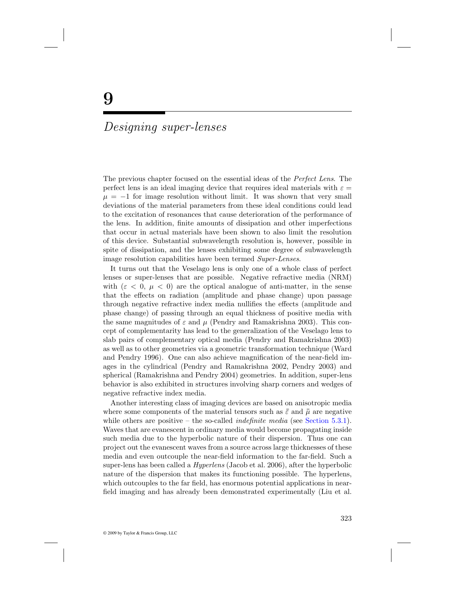# Designing super-lenses

The previous chapter focused on the essential ideas of the *Perfect Lens*. The perfect lens is an ideal imaging device that requires ideal materials with  $\varepsilon =$  $\mu = -1$  for image resolution without limit. It was shown that very small deviations of the material parameters from these ideal conditions could lead to the excitation of resonances that cause deterioration of the performance of the lens. In addition, finite amounts of dissipation and other imperfections that occur in actual materials have been shown to also limit the resolution of this device. Substantial subwavelength resolution is, however, possible in spite of dissipation, and the lenses exhibiting some degree of subwavelength image resolution capabilities have been termed *Super-Lenses*.

It turns out that the Veselago lens is only one of a whole class of perfect lenses or super-lenses that are possible. Negative refractive media (NRM) with  $(\varepsilon < 0, \mu < 0)$  are the optical analogue of anti-matter, in the sense that the effects on radiation (amplitude and phase change) upon passage through negative refractive index media nullifies the effects (amplitude and phase change) of passing through an equal thickness of positive media with the same magnitudes of  $\varepsilon$  and  $\mu$  (Pendry and Ramakrishna 2003). This concept of complementarity has lead to the generalization of the Veselago lens to slab pairs of complementary optical media (Pendry and Ramakrishna 2003) as well as to other geometries via a geometric transformation technique (Ward and Pendry 1996). One can also achieve magnification of the near-field images in the cylindrical (Pendry and Ramakrishna 2002, Pendry 2003) and spherical (Ramakrishna and Pendry 2004) geometries. In addition, super-lens behavior is also exhibited in structures involving sharp corners and wedges of negative refractive index media.

Another interesting class of imaging devices are based on anisotropic media where some components of the material tensors such as  $\bar{\bar{\varepsilon}}$  and  $\bar{\bar{\mu}}$  are negative while others are positive – the so-called *indefinite media* (see [Section 5.3.1](#page-27-0)). Waves that are evanescent in ordinary media would become propagating inside such media due to the hyperbolic nature of their dispersion. Thus one can project out the evanescent waves from a source across large thicknesses of these media and even outcouple the near-field information to the far-field. Such a super-lens has been called a *Hyperlens* (Jacob et al. 2006), after the hyperbolic nature of the dispersion that makes its functioning possible. The hyperlens, which outcouples to the far field, has enormous potential applications in nearfield imaging and has already been demonstrated experimentally (Liu et al.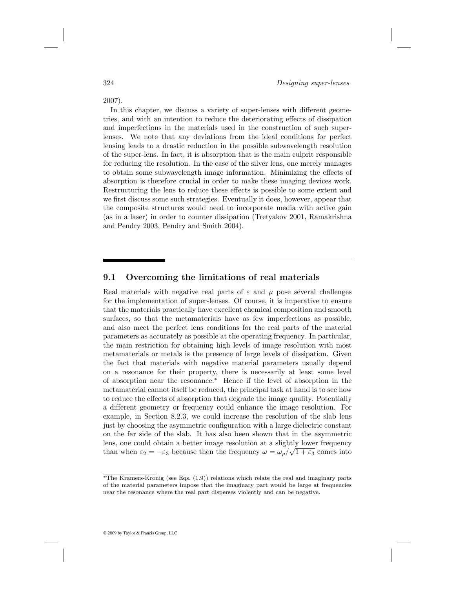2007).

In this chapter, we discuss a variety of super-lenses with different geometries, and with an intention to reduce the deteriorating effects of dissipation and imperfections in the materials used in the construction of such superlenses. We note that any deviations from the ideal conditions for perfect lensing leads to a drastic reduction in the possible subwavelength resolution of the super-lens. In fact, it is absorption that is the main culprit responsible for reducing the resolution. In the case of the silver lens, one merely manages to obtain some subwavelength image information. Minimizing the effects of absorption is therefore crucial in order to make these imaging devices work. Restructuring the lens to reduce these effects is possible to some extent and we first discuss some such strategies. Eventually it does, however, appear that the composite structures would need to incorporate media with active gain (as in a laser) in order to counter dissipation (Tretyakov 2001, Ramakrishna and Pendry 2003, Pendry and Smith 2004).

# **9.1 Overcoming the limitations of real materials**

Real materials with negative real parts of  $\varepsilon$  and  $\mu$  pose several challenges for the implementation of super-lenses. Of course, it is imperative to ensure that the materials practically have excellent chemical composition and smooth surfaces, so that the metamaterials have as few imperfections as possible, and also meet the perfect lens conditions for the real parts of the material parameters as accurately as possible at the operating frequency. In particular, the main restriction for obtaining high levels of image resolution with most metamaterials or metals is the presence of large levels of dissipation. Given the fact that materials with negative material parameters usually depend on a resonance for their property, there is necessarily at least some level of absorption near the resonance.<sup>∗</sup> Hence if the level of absorption in the metamaterial cannot itself be reduced, the principal task at hand is to see how to reduce the effects of absorption that degrade the image quality. Potentially a different geometry or frequency could enhance the image resolution. For example, in Section 8.2.3, we could increase the resolution of the slab lens just by choosing the asymmetric configuration with a large dielectric constant on the far side of the slab. It has also been shown that in the asymmetric lens, one could obtain a better image resolution at a slightly lower frequency than when  $\varepsilon_2 = -\varepsilon_3$  because then the frequency  $\omega = \omega_p / \sqrt{1 + \varepsilon_3}$  comes into

<sup>∗</sup>The Kramers-Kronig (see Eqs. (1.9)) relations which relate the real and imaginary parts of the material parameters impose that the imaginary part would be large at frequencies near the resonance where the real part disperses violently and can be negative.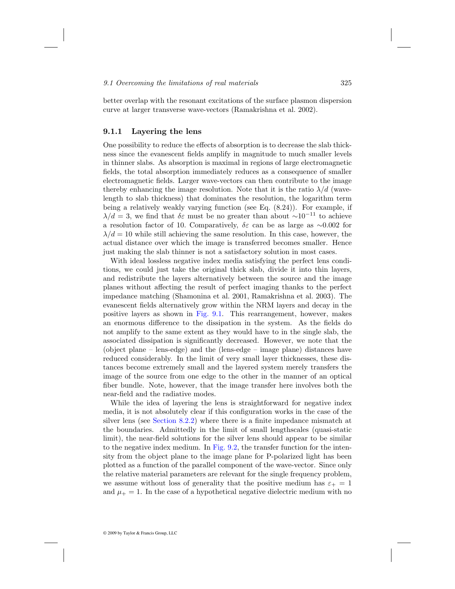better overlap with the resonant excitations of the surface plasmon dispersion curve at larger transverse wave-vectors (Ramakrishna et al. 2002).

## **9.1.1 Layering the lens**

One possibility to reduce the effects of absorption is to decrease the slab thickness since the evanescent fields amplify in magnitude to much smaller levels in thinner slabs. As absorption is maximal in regions of large electromagnetic fields, the total absorption immediately reduces as a consequence of smaller electromagnetic fields. Larger wave-vectors can then contribute to the image thereby enhancing the image resolution. Note that it is the ratio  $\lambda/d$  (wavelength to slab thickness) that dominates the resolution, the logarithm term being a relatively weakly varying function (see Eq. (8.24)). For example, if  $\lambda/d = 3$ , we find that  $\delta \varepsilon$  must be no greater than about ~10<sup>-11</sup> to achieve a resolution factor of 10. Comparatively, δε can be as large as ∼0.002 for  $\lambda/d = 10$  while still achieving the same resolution. In this case, however, the actual distance over which the image is transferred becomes smaller. Hence just making the slab thinner is not a satisfactory solution in most cases.

With ideal lossless negative index media satisfying the perfect lens conditions, we could just take the original thick slab, divide it into thin layers, and redistribute the layers alternatively between the source and the image planes without affecting the result of perfect imaging thanks to the perfect impedance matching (Shamonina et al. 2001, Ramakrishna et al. 2003). The evanescent fields alternatively grow within the NRM layers and decay in the positive layers as shown in [Fig. 9.1](#page-3-0). This rearrangement, however, makes an enormous difference to the dissipation in the system. As the fields do not amplify to the same extent as they would have to in the single slab, the associated dissipation is significantly decreased. However, we note that the (object plane – lens-edge) and the (lens-edge – image plane) distances have reduced considerably. In the limit of very small layer thicknesses, these distances become extremely small and the layered system merely transfers the image of the source from one edge to the other in the manner of an optical fiber bundle. Note, however, that the image transfer here involves both the near-field and the radiative modes.

While the idea of layering the lens is straightforward for negative index media, it is not absolutely clear if this configuration works in the case of the silver lens (see [Section 8.2.2](#page-11-0)) where there is a finite impedance mismatch at the boundaries. Admittedly in the limit of small lengthscales (quasi-static limit), the near-field solutions for the silver lens should appear to be similar to the negative index medium. In [Fig. 9.2](#page-4-0), the transfer function for the intensity from the object plane to the image plane for P-polarized light has been plotted as a function of the parallel component of the wave-vector. Since only the relative material parameters are relevant for the single frequency problem, we assume without loss of generality that the positive medium has  $\varepsilon_+ = 1$ and  $\mu_{+} = 1$ . In the case of a hypothetical negative dielectric medium with no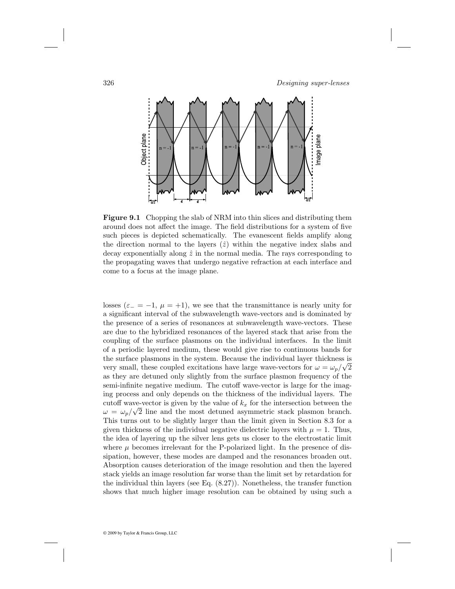<span id="page-3-0"></span>

Figure 9.1 Chopping the slab of NRM into thin slices and distributing them around does not affect the image. The field distributions for a system of five such pieces is depicted schematically. The evanescent fields amplify along the direction normal to the layers  $(\hat{z})$  within the negative index slabs and decay exponentially along  $\hat{z}$  in the normal media. The rays corresponding to the propagating waves that undergo negative refraction at each interface and come to a focus at the image plane.

losses ( $\varepsilon = -1$ ,  $\mu = +1$ ), we see that the transmittance is nearly unity for a significant interval of the subwavelength wave-vectors and is dominated by the presence of a series of resonances at subwavelength wave-vectors. These are due to the hybridized resonances of the layered stack that arise from the coupling of the surface plasmons on the individual interfaces. In the limit of a periodic layered medium, these would give rise to continuous bands for the surface plasmons in the system. Because the individual layer thickness is the surface plasmons in the system. Because the individual layer thickness is<br>very small, these coupled excitations have large wave-vectors for  $\omega = \omega_p/\sqrt{2}$ as they are detuned only slightly from the surface plasmon frequency of the semi-infinite negative medium. The cutoff wave-vector is large for the imaging process and only depends on the thickness of the individual layers. The cutoff wave-vector is given by the value of  $k_x$  for the intersection between the cuton wave-vector is given by the value of  $\kappa_x$  for the intersection between the  $\omega = \omega_p/\sqrt{2}$  line and the most detuned asymmetric stack plasmon branch. This turns out to be slightly larger than the limit given in Section 8.3 for a given thickness of the individual negative dielectric layers with  $\mu = 1$ . Thus, the idea of layering up the silver lens gets us closer to the electrostatic limit where  $\mu$  becomes irrelevant for the P-polarized light. In the presence of dissipation, however, these modes are damped and the resonances broaden out. Absorption causes deterioration of the image resolution and then the layered stack yields an image resolution far worse than the limit set by retardation for the individual thin layers (see Eq. (8.27)). Nonetheless, the transfer function shows that much higher image resolution can be obtained by using such a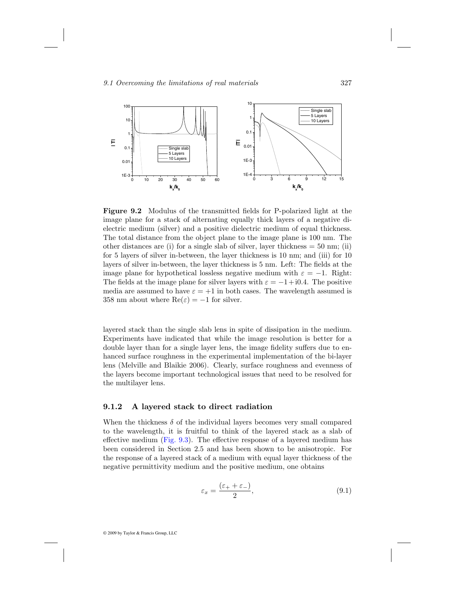<span id="page-4-0"></span>

**Figure 9.2** Modulus of the transmitted fields for P-polarized light at the image plane for a stack of alternating equally thick layers of a negative dielectric medium (silver) and a positive dielectric medium of equal thickness. The total distance from the object plane to the image plane is 100 nm. The other distances are (i) for a single slab of silver, layer thickness  $= 50$  nm; (ii) for 5 layers of silver in-between, the layer thickness is 10 nm; and (iii) for 10 layers of silver in-between, the layer thickness is 5 nm. Left: The fields at the image plane for hypothetical lossless negative medium with  $\varepsilon = -1$ . Right: The fields at the image plane for silver layers with  $\varepsilon = -1+10.4$ . The positive media are assumed to have  $\varepsilon = +1$  in both cases. The wavelength assumed is 358 nm about where  $\text{Re}(\varepsilon) = -1$  for silver.

layered stack than the single slab lens in spite of dissipation in the medium. Experiments have indicated that while the image resolution is better for a double layer than for a single layer lens, the image fidelity suffers due to enhanced surface roughness in the experimental implementation of the bi-layer lens (Melville and Blaikie 2006). Clearly, surface roughness and evenness of the layers become important technological issues that need to be resolved for the multilayer lens.

#### **9.1.2 A layered stack to direct radiation**

When the thickness  $\delta$  of the individual layers becomes very small compared to the wavelength, it is fruitful to think of the layered stack as a slab of effective medium ([Fig. 9.3](#page-5-0)). The effective response of a layered medium has been considered in Section 2.5 and has been shown to be anisotropic. For the response of a layered stack of a medium with equal layer thickness of the negative permittivity medium and the positive medium, one obtains

$$
\varepsilon_x = \frac{(\varepsilon_+ + \varepsilon_-)}{2},\tag{9.1}
$$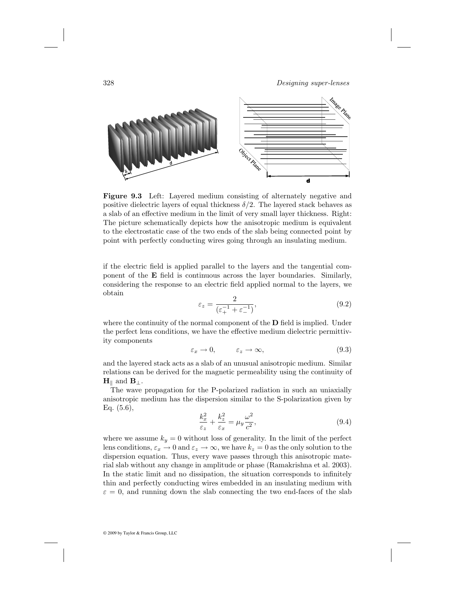<span id="page-5-0"></span>

**Figure 9.3** Left: Layered medium consisting of alternately negative and positive dielectric layers of equal thickness  $\delta/2$ . The layered stack behaves as a slab of an effective medium in the limit of very small layer thickness. Right: The picture schematically depicts how the anisotropic medium is equivalent to the electrostatic case of the two ends of the slab being connected point by point with perfectly conducting wires going through an insulating medium.

if the electric field is applied parallel to the layers and the tangential component of the **E** field is continuous across the layer boundaries. Similarly, considering the response to an electric field applied normal to the layers, we obtain

$$
\varepsilon_z = \frac{2}{(\varepsilon_+^{-1} + \varepsilon_-^{-1})},\tag{9.2}
$$

where the continuity of the normal component of the **D** field is implied. Under the perfect lens conditions, we have the effective medium dielectric permittivity components

$$
\varepsilon_x \to 0, \qquad \varepsilon_z \to \infty, \tag{9.3}
$$

and the layered stack acts as a slab of an unusual anisotropic medium. Similar relations can be derived for the magnetic permeability using the continuity of  $H_{\parallel}$  and  $B_{\perp}$ .

The wave propagation for the P-polarized radiation in such an uniaxially anisotropic medium has the dispersion similar to the S-polarization given by Eq. (5.6),

$$
\frac{k_x^2}{\varepsilon_z} + \frac{k_z^2}{\varepsilon_x} = \mu_y \frac{\omega^2}{c^2},\tag{9.4}
$$

where we assume  $k_y = 0$  without loss of generality. In the limit of the perfect lens conditions,  $\varepsilon_x \to 0$  and  $\varepsilon_z \to \infty$ , we have  $k_z = 0$  as the only solution to the dispersion equation. Thus, every wave passes through this anisotropic material slab without any change in amplitude or phase (Ramakrishna et al. 2003). In the static limit and no dissipation, the situation corresponds to infinitely thin and perfectly conducting wires embedded in an insulating medium with  $\varepsilon = 0$ , and running down the slab connecting the two end-faces of the slab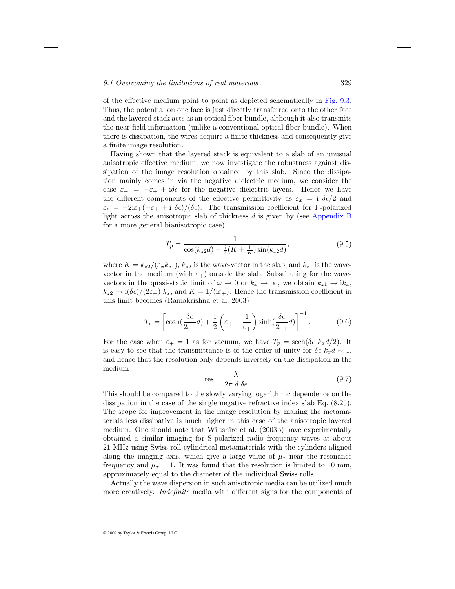of the effective medium point to point as depicted schematically in [Fig. 9.3](#page-5-0). Thus, the potential on one face is just directly transferred onto the other face and the layered stack acts as an optical fiber bundle, although it also transmits the near-field information (unlike a conventional optical fiber bundle). When there is dissipation, the wires acquire a finite thickness and consequently give a finite image resolution.

Having shown that the layered stack is equivalent to a slab of an unusual anisotropic effective medium, we now investigate the robustness against dissipation of the image resolution obtained by this slab. Since the dissipation mainly comes in via the negative dielectric medium, we consider the case  $\varepsilon_{-} = -\varepsilon_{+} + i\delta\epsilon$  for the negative dielectric layers. Hence we have the different components of the effective permittivity as  $\varepsilon_x = i \delta \epsilon/2$  and  $\varepsilon_z = -2i\varepsilon_+(-\varepsilon_+ + i \delta \epsilon)/(\delta \epsilon)$ . The transmission coefficient for P-polarized light across the anisotropic slab of thickness  $d$  is given by (see Appendix B) for a more general bianisotropic case)

$$
T_p = \frac{1}{\cos(k_{z2}d) - \frac{1}{2}(K + \frac{1}{K})\sin(k_{z2}d)},
$$
\n(9.5)

where  $K = k_{z2}/(\varepsilon_x k_{z1})$ ,  $k_{z2}$  is the wave-vector in the slab, and  $k_{z1}$  is the wavevector in the medium (with  $\varepsilon_{+}$ ) outside the slab. Substituting for the wavevectors in the quasi-static limit of  $\omega \to 0$  or  $k_x \to \infty$ , we obtain  $k_{z1} \to ik_x$ ,  $k_{z2} \rightarrow i(\delta \epsilon)/(2\varepsilon_+) k_x$ , and  $K = 1/(i\varepsilon_+)$ . Hence the transmission coefficient in this limit becomes (Ramakrishna et al. 2003)

$$
T_p = \left[ \cosh(\frac{\delta \epsilon}{2\varepsilon_+}d) + \frac{1}{2} \left( \varepsilon_+ - \frac{1}{\varepsilon_+} \right) \sinh(\frac{\delta \epsilon}{2\varepsilon_+}d) \right]^{-1}.
$$
 (9.6)

For the case when  $\varepsilon_+ = 1$  as for vacuum, we have  $T_p = \text{sech}(\delta \epsilon k_x d/2)$ . It is easy to see that the transmittance is of the order of unity for  $\delta \epsilon$  k<sub>x</sub>d ~ 1, and hence that the resolution only depends inversely on the dissipation in the medium

$$
res = \frac{\lambda}{2\pi \, d \, \delta\epsilon}.\tag{9.7}
$$

This should be compared to the slowly varying logarithmic dependence on the dissipation in the case of the single negative refractive index slab Eq. (8.25). The scope for improvement in the image resolution by making the metamaterials less dissipative is much higher in this case of the anisotropic layered medium. One should note that Wiltshire et al. (2003b) have experimentally obtained a similar imaging for S-polarized radio frequency waves at about 21 MHz using Swiss roll cylindrical metamaterials with the cylinders aligned along the imaging axis, which give a large value of  $\mu_z$  near the resonance frequency and  $\mu_x = 1$ . It was found that the resolution is limited to 10 mm, approximately equal to the diameter of the individual Swiss rolls.

Actually the wave dispersion in such anisotropic media can be utilized much more creatively. *Indefinite* media with different signs for the components of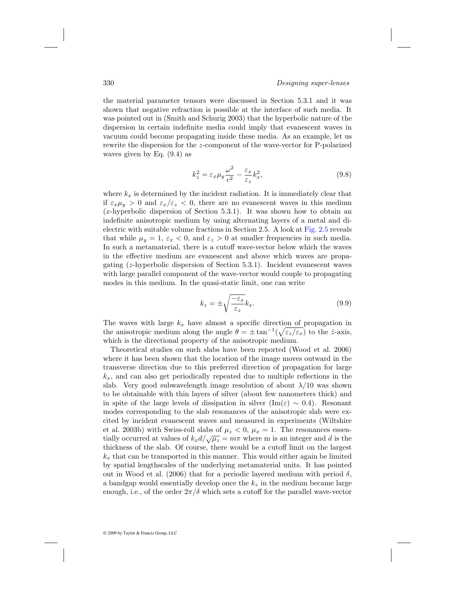the material parameter tensors were discussed in Section 5.3.1 and it was shown that negative refraction is possible at the interface of such media. It was pointed out in (Smith and Schurig 2003) that the hyperbolic nature of the dispersion in certain indefinite media could imply that evanescent waves in vacuum could become propagating inside these media. As an example, let us rewrite the dispersion for the z-component of the wave-vector for P-polarized waves given by Eq. (9.4) as

$$
k_z^2 = \varepsilon_x \mu_y \frac{\omega^2}{c^2} - \frac{\varepsilon_x}{\varepsilon_z} k_x^2,\tag{9.8}
$$

where  $k_x$  is determined by the incident radiation. It is immediately clear that if  $\varepsilon_x \mu_y > 0$  and  $\varepsilon_x/\varepsilon_z < 0$ , there are no evanescent waves in this medium (x-hyperbolic dispersion of Section 5.3.1). It was shown how to obtain an indefinite anisotropic medium by using alternating layers of a metal and dielectric with suitable volume fractions in Section 2.5. A look at [Fig. 2.5](#page-25-0) reveals that while  $\mu_y = 1$ ,  $\varepsilon_x < 0$ , and  $\varepsilon_z > 0$  at smaller frequencies in such media. In such a metamaterial, there is a cutoff wave-vector below which the waves in the effective medium are evanescent and above which waves are propagating (z-hyperbolic dispersion of Section 5.3.1). Incident evanescent waves with large parallel component of the wave-vector would couple to propagating modes in this medium. In the quasi-static limit, one can write

$$
k_z = \pm \sqrt{\frac{-\varepsilon_x}{\varepsilon_z}} k_x.
$$
\n(9.9)

The waves with large  $k_x$  have almost a specific direction of propagation in the anisotropic medium along the angle  $\theta = \pm \tan^{-1}(\sqrt{\varepsilon_z/\varepsilon_x})$  to the  $\hat{z}$ -axis, which is the directional property of the anisotropic medium.

Theoretical studies on such slabs have been reported (Wood et al. 2006) where it has been shown that the location of the image moves outward in the transverse direction due to this preferred direction of propagation for large  $k_x$ , and can also get periodically repeated due to multiple reflections in the slab. Very good subwavelength image resolution of about  $\lambda/10$  was shown to be obtainable with thin layers of silver (about few nanometers thick) and in spite of the large levels of dissipation in silver (Im( $\varepsilon$ ) ~ 0.4). Resonant modes corresponding to the slab resonances of the anisotropic slab were excited by incident evanescent waves and measured in experiments (Wiltshire et al. 2003b) with Swiss-roll slabs of  $\mu_z < 0$ ,  $\mu_x = 1$ . The resonances essentially occurred at values of  $k_x d / \sqrt{\mu_z} = m\pi$  where m is an integer and d is the thickness of the slab. Of course, there would be a cutoff limit on the largest  $k_x$  that can be transported in this manner. This would either again be limited by spatial lengthscales of the underlying metamaterial units. It has pointed out in Wood et al. (2006) that for a periodic layered medium with period  $\delta$ , a bandgap would essentially develop once the  $k_z$  in the medium became large enough, i.e., of the order  $2\pi/\delta$  which sets a cutoff for the parallel wave-vector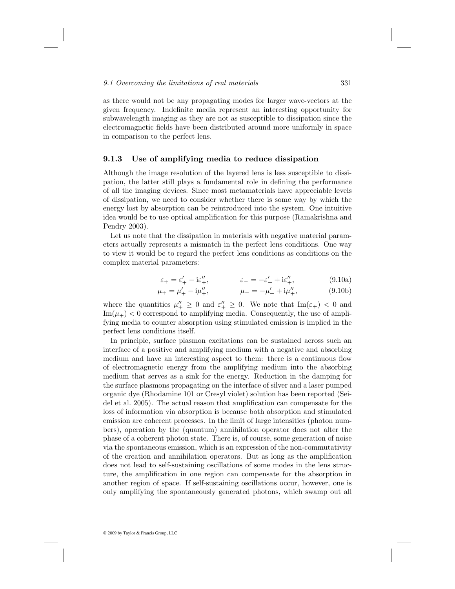as there would not be any propagating modes for larger wave-vectors at the given frequency. Indefinite media represent an interesting opportunity for subwavelength imaging as they are not as susceptible to dissipation since the electromagnetic fields have been distributed around more uniformly in space in comparison to the perfect lens.

## **9.1.3 Use of amplifying media to reduce dissipation**

Although the image resolution of the layered lens is less susceptible to dissipation, the latter still plays a fundamental role in defining the performance of all the imaging devices. Since most metamaterials have appreciable levels of dissipation, we need to consider whether there is some way by which the energy lost by absorption can be reintroduced into the system. One intuitive idea would be to use optical amplification for this purpose (Ramakrishna and Pendry 2003).

Let us note that the dissipation in materials with negative material parameters actually represents a mismatch in the perfect lens conditions. One way to view it would be to regard the perfect lens conditions as conditions on the complex material parameters:

$$
\varepsilon_{+} = \varepsilon_{+}' - i\varepsilon_{+}'' , \qquad \qquad \varepsilon_{-} = -\varepsilon_{+}' + i\varepsilon_{+}'' , \qquad (9.10a)
$$

$$
\mu_{+} = \mu'_{+} - i\mu''_{+}, \qquad \mu_{-} = -\mu'_{+} + i\mu''_{+}, \qquad (9.10b)
$$

where the quantities  $\mu''_+ \geq 0$  and  $\varepsilon''_+ \geq 0$ . We note that  $\text{Im}(\varepsilon_+) < 0$  and  $Im(\mu_{+})$  < 0 correspond to amplifying media. Consequently, the use of amplifying media to counter absorption using stimulated emission is implied in the perfect lens conditions itself.

In principle, surface plasmon excitations can be sustained across such an interface of a positive and amplifying medium with a negative and absorbing medium and have an interesting aspect to them: there is a continuous flow of electromagnetic energy from the amplifying medium into the absorbing medium that serves as a sink for the energy. Reduction in the damping for the surface plasmons propagating on the interface of silver and a laser pumped organic dye (Rhodamine 101 or Cresyl violet) solution has been reported (Seidel et al. 2005). The actual reason that amplification can compensate for the loss of information via absorption is because both absorption and stimulated emission are coherent processes. In the limit of large intensities (photon numbers), operation by the (quantum) annihilation operator does not alter the phase of a coherent photon state. There is, of course, some generation of noise via the spontaneous emission, which is an expression of the non-commutativity of the creation and annihilation operators. But as long as the amplification does not lead to self-sustaining oscillations of some modes in the lens structure, the amplification in one region can compensate for the absorption in another region of space. If self-sustaining oscillations occur, however, one is only amplifying the spontaneously generated photons, which swamp out all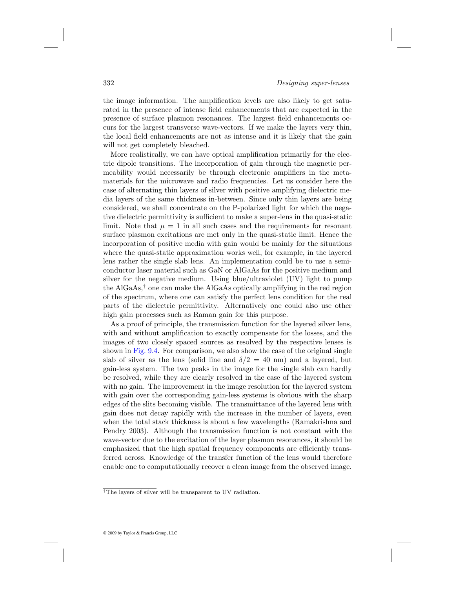the image information. The amplification levels are also likely to get saturated in the presence of intense field enhancements that are expected in the presence of surface plasmon resonances. The largest field enhancements occurs for the largest transverse wave-vectors. If we make the layers very thin, the local field enhancements are not as intense and it is likely that the gain will not get completely bleached.

More realistically, we can have optical amplification primarily for the electric dipole transitions. The incorporation of gain through the magnetic permeability would necessarily be through electronic amplifiers in the metamaterials for the microwave and radio frequencies. Let us consider here the case of alternating thin layers of silver with positive amplifying dielectric media layers of the same thickness in-between. Since only thin layers are being considered, we shall concentrate on the P-polarized light for which the negative dielectric permittivity is sufficient to make a super-lens in the quasi-static limit. Note that  $\mu = 1$  in all such cases and the requirements for resonant surface plasmon excitations are met only in the quasi-static limit. Hence the incorporation of positive media with gain would be mainly for the situations where the quasi-static approximation works well, for example, in the layered lens rather the single slab lens. An implementation could be to use a semiconductor laser material such as GaN or AlGaAs for the positive medium and silver for the negative medium. Using blue/ultraviolet (UV) light to pump the  $AIGaAs,^{\dagger}$  one can make the  $AIGaAs$  optically amplifying in the red region of the spectrum, where one can satisfy the perfect lens condition for the real parts of the dielectric permittivity. Alternatively one could also use other high gain processes such as Raman gain for this purpose.

As a proof of principle, the transmission function for the layered silver lens, with and without amplification to exactly compensate for the losses, and the images of two closely spaced sources as resolved by the respective lenses is shown in [Fig. 9.4](#page-10-0). For comparison, we also show the case of the original single slab of silver as the lens (solid line and  $\delta/2 = 40$  nm) and a layered, but gain-less system. The two peaks in the image for the single slab can hardly be resolved, while they are clearly resolved in the case of the layered system with no gain. The improvement in the image resolution for the layered system with gain over the corresponding gain-less systems is obvious with the sharp edges of the slits becoming visible. The transmittance of the layered lens with gain does not decay rapidly with the increase in the number of layers, even when the total stack thickness is about a few wavelengths (Ramakrishna and Pendry 2003). Although the transmission function is not constant with the wave-vector due to the excitation of the layer plasmon resonances, it should be emphasized that the high spatial frequency components are efficiently transferred across. Knowledge of the transfer function of the lens would therefore enable one to computationally recover a clean image from the observed image.

<sup>†</sup>The layers of silver will be transparent to UV radiation.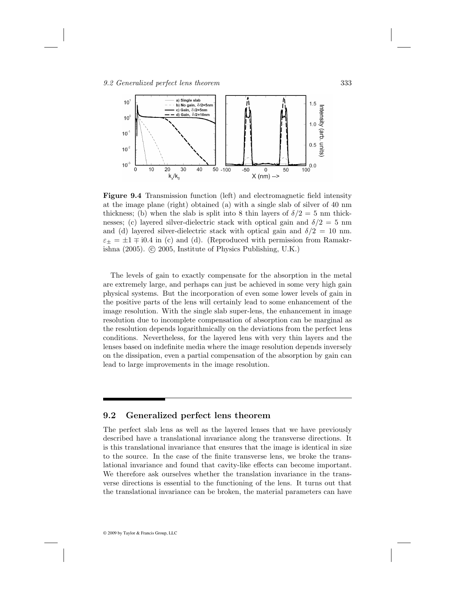<span id="page-10-0"></span>

**Figure 9.4** Transmission function (left) and electromagnetic field intensity at the image plane (right) obtained (a) with a single slab of silver of 40 nm thickness; (b) when the slab is split into 8 thin layers of  $\delta/2 = 5$  nm thicknesses; (c) layered silver-dielectric stack with optical gain and  $\delta/2 = 5$  nm and (d) layered silver-dielectric stack with optical gain and  $\delta/2 = 10$  nm.  $\varepsilon_{\pm} = \pm 1 \mp i0.4$  in (c) and (d). (Reproduced with permission from Ramakrishna  $(2005)$ .  $\odot$  2005, Institute of Physics Publishing, U.K.)

The levels of gain to exactly compensate for the absorption in the metal are extremely large, and perhaps can just be achieved in some very high gain physical systems. But the incorporation of even some lower levels of gain in the positive parts of the lens will certainly lead to some enhancement of the image resolution. With the single slab super-lens, the enhancement in image resolution due to incomplete compensation of absorption can be marginal as the resolution depends logarithmically on the deviations from the perfect lens conditions. Nevertheless, for the layered lens with very thin layers and the lenses based on indefinite media where the image resolution depends inversely on the dissipation, even a partial compensation of the absorption by gain can lead to large improvements in the image resolution.

## **9.2 Generalized perfect lens theorem**

The perfect slab lens as well as the layered lenses that we have previously described have a translational invariance along the transverse directions. It is this translational invariance that ensures that the image is identical in size to the source. In the case of the finite transverse lens, we broke the translational invariance and found that cavity-like effects can become important. We therefore ask ourselves whether the translation invariance in the transverse directions is essential to the functioning of the lens. It turns out that the translational invariance can be broken, the material parameters can have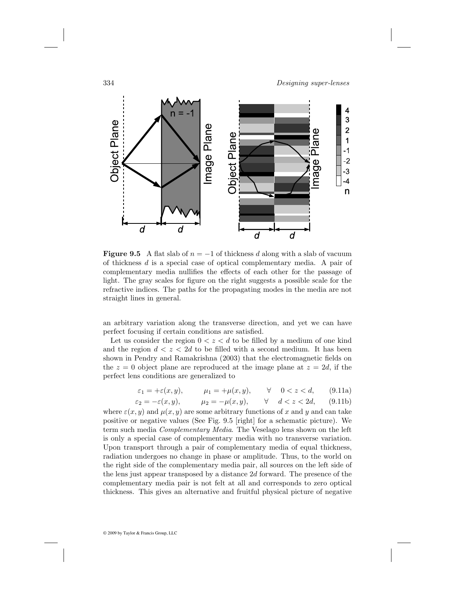<span id="page-11-0"></span>

**Figure 9.5** A flat slab of  $n = -1$  of thickness d along with a slab of vacuum of thickness d is a special case of optical complementary media. A pair of complementary media nullifies the effects of each other for the passage of light. The gray scales for figure on the right suggests a possible scale for the refractive indices. The paths for the propagating modes in the media are not straight lines in general.

an arbitrary variation along the transverse direction, and yet we can have perfect focusing if certain conditions are satisfied.

Let us consider the region  $0 < z < d$  to be filled by a medium of one kind and the region  $d < z < 2d$  to be filled with a second medium. It has been shown in Pendry and Ramakrishna (2003) that the electromagnetic fields on the  $z = 0$  object plane are reproduced at the image plane at  $z = 2d$ , if the perfect lens conditions are generalized to

$$
\varepsilon_1 = +\varepsilon(x, y), \qquad \mu_1 = +\mu(x, y), \qquad \forall \quad 0 < z < d,\tag{9.11a}
$$

$$
\varepsilon_2 = -\varepsilon(x, y), \qquad \mu_2 = -\mu(x, y), \qquad \forall \quad d < z < 2d, \tag{9.11b}
$$

where  $\varepsilon(x,y)$  and  $\mu(x,y)$  are some arbitrary functions of x and y and can take positive or negative values (See Fig. 9.5 [right] for a schematic picture). We term such media *Complementary Media*. The Veselago lens shown on the left is only a special case of complementary media with no transverse variation. Upon transport through a pair of complementary media of equal thickness, radiation undergoes no change in phase or amplitude. Thus, to the world on the right side of the complementary media pair, all sources on the left side of the lens just appear transposed by a distance 2d forward. The presence of the complementary media pair is not felt at all and corresponds to zero optical thickness. This gives an alternative and fruitful physical picture of negative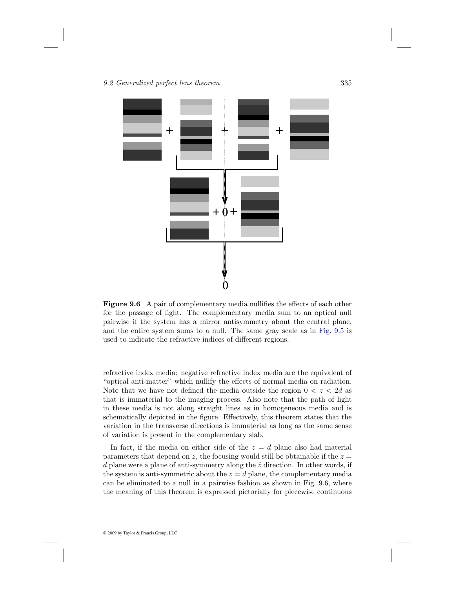

Figure 9.6 A pair of complementary media nullifies the effects of each other for the passage of light. The complementary media sum to an optical null pairwise if the system has a mirror antisymmetry about the central plane, and the entire system sums to a null. The same gray scale as in [Fig. 9.5](#page-11-0) is used to indicate the refractive indices of different regions.

refractive index media: negative refractive index media are the equivalent of "optical anti-matter" which nullify the effects of normal media on radiation. Note that we have not defined the media outside the region  $0 < z < 2d$  as that is immaterial to the imaging process. Also note that the path of light in these media is not along straight lines as in homogeneous media and is schematically depicted in the figure. Effectively, this theorem states that the variation in the transverse directions is immaterial as long as the same sense of variation is present in the complementary slab.

In fact, if the media on either side of the  $z = d$  plane also had material parameters that depend on z, the focusing would still be obtainable if the  $z =$ d plane were a plane of anti-symmetry along the  $\hat{z}$  direction. In other words, if the system is anti-symmetric about the  $z = d$  plane, the complementary media can be eliminated to a null in a pairwise fashion as shown in Fig. 9.6, where the meaning of this theorem is expressed pictorially for piecewise continuous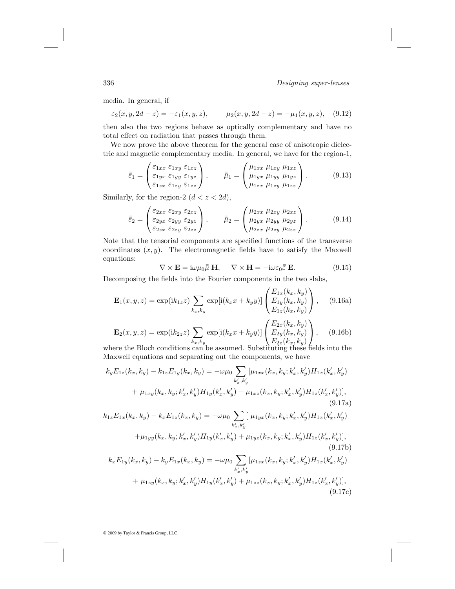media. In general, if

$$
\varepsilon_2(x, y, 2d - z) = -\varepsilon_1(x, y, z),
$$
  $\mu_2(x, y, 2d - z) = -\mu_1(x, y, z),$  (9.12)

then also the two regions behave as optically complementary and have no total effect on radiation that passes through them.

We now prove the above theorem for the general case of anisotropic dielectric and magnetic complementary media. In general, we have for the region-1,

$$
\bar{\bar{\varepsilon}}_1 = \begin{pmatrix} \varepsilon_{1xx} \varepsilon_{1xy} \varepsilon_{1xz} \\ \varepsilon_{1yx} \varepsilon_{1yy} \varepsilon_{1yz} \\ \varepsilon_{1zx} \varepsilon_{1zy} \varepsilon_{1zz} \end{pmatrix}, \qquad \bar{\mu}_1 = \begin{pmatrix} \mu_{1xx} \mu_{1xy} \mu_{1xz} \\ \mu_{1yx} \mu_{1yy} \mu_{1yz} \\ \mu_{1zx} \mu_{1zy} \mu_{1zz} \end{pmatrix}.
$$
 (9.13)

Similarly, for the region-2  $(d < z < 2d)$ ,

$$
\bar{\bar{\varepsilon}}_2 = \begin{pmatrix} \varepsilon_{2xx} & \varepsilon_{2xy} & \varepsilon_{2xz} \\ \varepsilon_{2yx} & \varepsilon_{2yy} & \varepsilon_{2yz} \\ \varepsilon_{2zx} & \varepsilon_{2zy} & \varepsilon_{2zz} \end{pmatrix}, \qquad \bar{\bar{\mu}}_2 = \begin{pmatrix} \mu_{2xx} & \mu_{2xy} & \mu_{2xz} \\ \mu_{2yx} & \mu_{2yy} & \mu_{2yz} \\ \mu_{2zx} & \mu_{2zy} & \mu_{2zz} \end{pmatrix}.
$$
 (9.14)

Note that the tensorial components are specified functions of the transverse coordinates  $(x, y)$ . The electromagnetic fields have to satisfy the Maxwell equations:

$$
\nabla \times \mathbf{E} = i\omega\mu_0 \bar{\bar{\mu}} \mathbf{H}, \quad \nabla \times \mathbf{H} = -i\omega\varepsilon_0 \bar{\bar{\varepsilon}} \mathbf{E}.
$$
 (9.15)

Decomposing the fields into the Fourier components in the two slabs,

$$
\mathbf{E}_{1}(x, y, z) = \exp(ik_{1z}z) \sum_{k_{x}, k_{y}} \exp[i(k_{x}x + k_{y}y)] \begin{pmatrix} E_{1x}(k_{x}, k_{y}) \\ E_{1y}(k_{x}, k_{y}) \\ E_{1z}(k_{x}, k_{y}) \end{pmatrix}, \quad (9.16a)
$$

$$
\mathbf{E}_2(x, y, z) = \exp(ik_{2z}z) \sum_{k_x, k_y} \exp[i(k_x x + k_y y)] \begin{pmatrix} E_{2x}(k_x, k_y) \\ E_{2y}(k_x, k_y) \\ E_{2z}(k_x, k_y) \end{pmatrix}, \quad (9.16b)
$$

where the Bloch conditions can be assumed. Substituting these fields into the Maxwell equations and separating out the components, we have

$$
k_y E_{1z}(k_x, k_y) - k_{1z} E_{1y}(k_x, k_y) = -\omega \mu_0 \sum_{k'_x, k'_y} [\mu_{1xx}(k_x, k_y; k'_x, k'_y) H_{1x}(k'_x, k'_y) + \mu_{1xy}(k_x, k_y; k'_x, k'_y) H_{1y}(k'_x, k'_y) + \mu_{1xz}(k_x, k_y; k'_x, k'_y) H_{1z}(k'_x, k'_y)],
$$
\n(9.17a)

$$
k_{1z}E_{1x}(k_x, k_y) - k_x E_{1z}(k_x, k_y) = -\omega \mu_0 \sum_{k'_x, k'_y} \left[ \mu_{1yx}(k_x, k_y; k'_x, k'_y) H_{1x}(k'_x, k'_y) \right. \n\left. + \mu_{1yy}(k_x, k_y; k'_x, k'_y) H_{1y}(k'_x, k'_y) + \mu_{1yz}(k_x, k_y; k'_x, k'_y) H_{1z}(k'_x, k'_y) \right],
$$
\n(9.17b)

$$
k_x E_{1y}(k_x, k_y) - k_y E_{1x}(k_x, k_y) = -\omega \mu_0 \sum_{k'_x, k'_y} [\mu_{1zx}(k_x, k_y; k'_x, k'_y) H_{1x}(k'_x, k'_y) + \mu_{1zy}(k_x, k_y; k'_x, k'_y) H_{1y}(k'_x, k'_y) + \mu_{1zz}(k_x, k_y; k'_x, k'_y) H_{1z}(k'_x, k'_y)],
$$
\n(9.17c)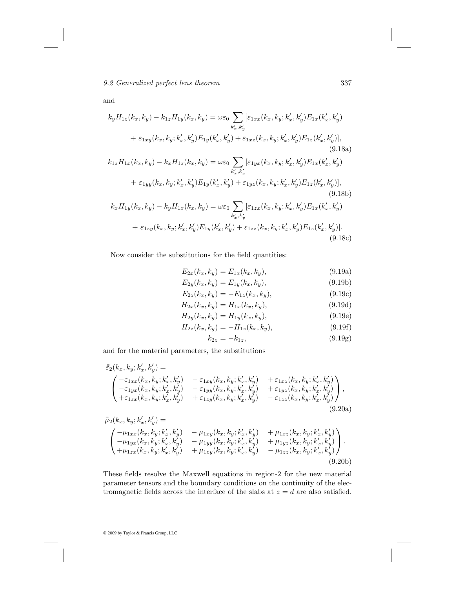and

$$
k_y H_{1z}(k_x, k_y) - k_{1z} H_{1y}(k_x, k_y) = \omega \varepsilon_0 \sum_{k'_x, k'_y} [\varepsilon_{1xx}(k_x, k_y; k'_x, k'_y) E_{1x}(k'_x, k'_y) + \varepsilon_{1xy}(k_x, k_y; k'_x, k'_y) E_{1y}(k'_x, k'_y) + \varepsilon_{1xz}(k_x, k_y; k'_x, k'_y) E_{1z}(k'_x, k'_y)],
$$
\n(9.18a)

$$
k_{1z}H_{1x}(k_x, k_y) - k_xH_{1z}(k_x, k_y) = \omega \varepsilon_0 \sum_{k'_x, k'_y} [\varepsilon_{1yx}(k_x, k_y; k'_x, k'_y) E_{1x}(k'_x, k'_y) + \varepsilon_{1yy}(k_x, k_y; k'_x, k'_y) E_{1y}(k'_x, k'_y) + \varepsilon_{1yz}(k_x, k_y; k'_x, k'_y) E_{1z}(k'_x, k'_y)],
$$
\n
$$
(9.18b)
$$
\n
$$
k_xH_{1y}(k_x, k_y) - k_yH_{1x}(k_x, k_y) = \omega \varepsilon_0 \sum [\varepsilon_{1zx}(k_x, k_y; k'_x, k'_y) E_{1x}(k'_x, k'_y)]
$$

$$
k_x H_{1y}(k_x, k_y) - k_y H_{1x}(k_x, k_y) = \omega \varepsilon_0 \sum_{k'_x, k'_y} \varepsilon_{1zx}(k_x, k_y; k'_x, k'_y) E_{1x}(k'_x, k'_y) + \varepsilon_{1zy}(k_x, k_y; k'_x, k'_y) E_{1y}(k'_x, k'_y) + \varepsilon_{1zz}(k_x, k_y; k'_x, k'_y) E_{1z}(k'_x, k'_y)].
$$
\n(9.18c)

Now consider the substitutions for the field quantities:

$$
E_{2x}(k_x, k_y) = E_{1x}(k_x, k_y),
$$
\n(9.19a)

$$
E_{2y}(k_x, k_y) = E_{1y}(k_x, k_y), \tag{9.19b}
$$

$$
E_{2z}(k_x, k_y) = -E_{1z}(k_x, k_y), \tag{9.19c}
$$

$$
H_{2x}(k_x, k_y) = H_{1x}(k_x, k_y),
$$
\n(9.19d)

$$
H_{2y}(k_x, k_y) = H_{1y}(k_x, k_y),
$$
\n(9.19e)

$$
H_{2z}(k_x, k_y) = -H_{1z}(k_x, k_y), \tag{9.19f}
$$

$$
k_{2z} = -k_{1z}, \t\t(9.19g)
$$

and for the material parameters, the substitutions

$$
\bar{\varepsilon}_{2}(k_{x},k_{y};k'_{x},k'_{y}) = \n\begin{pmatrix}\n-\varepsilon_{1xx}(k_{x},k_{y};k'_{x},k'_{y}) & -\varepsilon_{1xy}(k_{x},k_{y};k'_{x},k'_{y}) & +\varepsilon_{1xz}(k_{x},k_{y};k'_{x},k'_{y}) \\
-\varepsilon_{1yx}(k_{x},k_{y};k'_{x},k'_{y}) & -\varepsilon_{1yy}(k_{x},k_{y};k'_{x},k'_{y}) & +\varepsilon_{1yz}(k_{x},k_{y};k'_{x},k'_{y}) \\
+\varepsilon_{1zx}(k_{x},k_{y};k'_{x},k'_{y}) & +\varepsilon_{1zy}(k_{x},k_{y};k'_{x},k'_{y}) & -\varepsilon_{1zz}(k_{x},k_{y};k'_{x},k'_{y})\n\end{pmatrix},
$$
\n(9.20a)

$$
\bar{\mu}_{2}(k_{x},k_{y};k'_{x},k'_{y}) =
$$
\n
$$
\begin{pmatrix}\n-\mu_{1xx}(k_{x},k_{y};k'_{x},k'_{y}) & -\mu_{1xy}(k_{x},k_{y};k'_{x},k'_{y}) & +\mu_{1xz}(k_{x},k_{y};k'_{x},k'_{y}) \\
-\mu_{1yx}(k_{x},k_{y};k'_{x},k'_{y}) & -\mu_{1yy}(k_{x},k_{y};k'_{x},k'_{y}) & +\mu_{1yz}(k_{x},k_{y};k'_{x},k'_{y}) \\
+\mu_{1zx}(k_{x},k_{y};k'_{x},k'_{y}) & +\mu_{1zy}(k_{x},k_{y};k'_{x},k'_{y}) & -\mu_{1zz}(k_{x},k_{y};k'_{x},k'_{y})\n\end{pmatrix}.
$$
\n(9.20b)

These fields resolve the Maxwell equations in region-2 for the new material parameter tensors and the boundary conditions on the continuity of the electromagnetic fields across the interface of the slabs at  $z = d$  are also satisfied.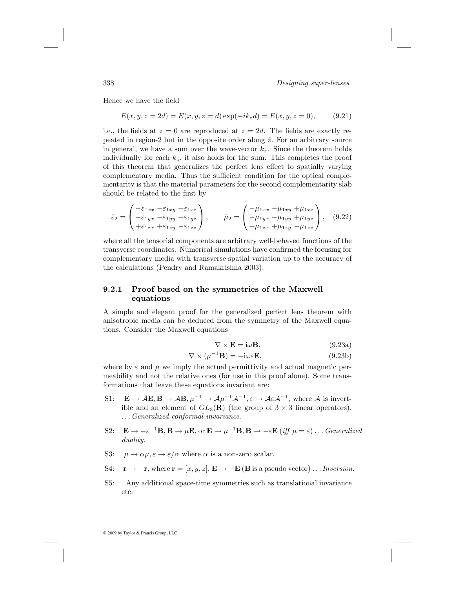Hence we have the field

$$
E(x, y, z = 2d) = E(x, y, z = d) \exp(-ik_z d) = E(x, y, z = 0), \quad (9.21)
$$

i.e., the fields at  $z = 0$  are reproduced at  $z = 2d$ . The fields are exactly repeated in region-2 but in the opposite order along  $\hat{z}$ . For an arbitrary source in general, we have a sum over the wave-vector  $k_z$ . Since the theorem holds individually for each  $k_z$ , it also holds for the sum. This completes the proof of this theorem that generalizes the perfect lens effect to spatially varying complementary media. Thus the sufficient condition for the optical complementarity is that the material parameters for the second complementarity slab should be related to the first by

$$
\bar{\bar{\varepsilon}}_2 = \begin{pmatrix} -\varepsilon_{1xx} - \varepsilon_{1xy} + \varepsilon_{1xz} \\ -\varepsilon_{1yx} - \varepsilon_{1yy} + \varepsilon_{1yz} \\ +\varepsilon_{1zx} + \varepsilon_{1zy} - \varepsilon_{1zz} \end{pmatrix}, \qquad \bar{\bar{\mu}}_2 = \begin{pmatrix} -\mu_{1xx} - \mu_{1xy} + \mu_{1xz} \\ -\mu_{1yx} - \mu_{1yy} + \mu_{1yz} \\ +\mu_{1zx} + \mu_{1zy} - \mu_{1zz} \end{pmatrix}, \quad (9.22)
$$

where all the tensorial components are arbitrary well-behaved functions of the transverse coordinates. Numerical simulations have confirmed the focusing for complementary media with transverse spatial variation up to the accuracy of the calculations (Pendry and Ramakrishna 2003).

## **9.2.1 Proof based on the symmetries of the Maxwell equations**

A simple and elegant proof for the generalized perfect lens theorem with anisotropic media can be deduced from the symmetry of the Maxwell equations. Consider the Maxwell equations

$$
\nabla \times \mathbf{E} = \mathbf{i}\omega \mathbf{B},\tag{9.23a}
$$

$$
\nabla \times (\mu^{-1} \mathbf{B}) = -\mathrm{i} \omega \varepsilon \mathbf{E},\tag{9.23b}
$$

where by  $\varepsilon$  and  $\mu$  we imply the actual permittivity and actual magnetic permeability and not the relative ones (for use in this proof alone). Some transformations that leave these equations invariant are:

- S1:  $\mathbf{E} \to \mathcal{A} \mathbf{E}, \mathbf{B} \to \mathcal{A} \mathbf{B}, \mu^{-1} \to \mathcal{A} \mu^{-1} \mathcal{A}^{-1}, \varepsilon \to \mathcal{A} \varepsilon \mathcal{A}^{-1},$  where  $\mathcal{A}$  is invertible and an element of  $GL_3(\mathbf{R})$  (the group of  $3 \times 3$  linear operators). ... *Generalized conformal invariance*.
- S2:  $\mathbf{E} \to -\varepsilon^{-1} \mathbf{B}, \mathbf{B} \to \mu \mathbf{E}, \text{ or } \mathbf{E} \to \mu^{-1} \mathbf{B}, \mathbf{B} \to -\varepsilon \mathbf{E}$  (*iff*  $\mu = \varepsilon$ )... *Generalized duality*.
- S3:  $\mu \to \alpha \mu, \varepsilon \to \varepsilon/\alpha$  where  $\alpha$  is a non-zero scalar.
- S4:  $\mathbf{r} \to -\mathbf{r}$ , where  $\mathbf{r} = [x, y, z]$ ,  $\mathbf{E} \to -\mathbf{E}$  (**B** is a pseudo vector) ... *Inversion*.
- S5: Any additional space-time symmetries such as translational invariance etc.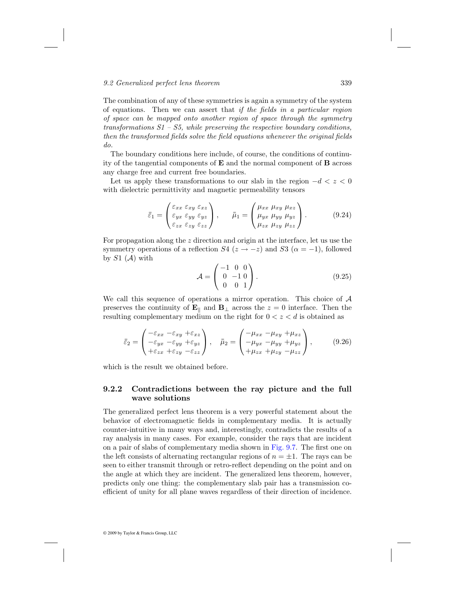The combination of any of these symmetries is again a symmetry of the system of equations. Then we can assert that *if the fields in a particular region of space can be mapped onto another region of space through the symmetry transformations S1 – S5, while preserving the respective boundary conditions, then the transformed fields solve the field equations whenever the original fields do.*

The boundary conditions here include, of course, the conditions of continuity of the tangential components of **E** and the normal component of **B** across any charge free and current free boundaries.

Let us apply these transformations to our slab in the region  $-d < z < 0$ with dielectric permittivity and magnetic permeability tensors

$$
\bar{\bar{\varepsilon}}_1 = \begin{pmatrix} \varepsilon_{xx} \varepsilon_{xy} \varepsilon_{xz} \\ \varepsilon_{yx} \varepsilon_{yy} \varepsilon_{yz} \\ \varepsilon_{zx} \varepsilon_{zy} \varepsilon_{zz} \end{pmatrix}, \qquad \bar{\bar{\mu}}_1 = \begin{pmatrix} \mu_{xx} \mu_{xy} \mu_{xz} \\ \mu_{yx} \mu_{yy} \mu_{yz} \\ \mu_{zx} \mu_{zy} \mu_{zz} \end{pmatrix}.
$$
 (9.24)

For propagation along the z direction and origin at the interface, let us use the symmetry operations of a reflection  $S_4(z \to -z)$  and  $S_3(\alpha = -1)$ , followed by  $S1$  (A) with

$$
\mathcal{A} = \begin{pmatrix} -1 & 0 & 0 \\ 0 & -1 & 0 \\ 0 & 0 & 1 \end{pmatrix} . \tag{9.25}
$$

We call this sequence of operations a mirror operation. This choice of  $A$ preserves the continuity of  $\mathbf{E}_{\parallel}$  and  $\mathbf{B}_{\perp}$  across the  $z = 0$  interface. Then the resulting complementary medium on the right for  $0 < z < d$  is obtained as

$$
\bar{\bar{\varepsilon}}_2 = \begin{pmatrix} -\varepsilon_{xx} - \varepsilon_{xy} + \varepsilon_{xz} \\ -\varepsilon_{yx} - \varepsilon_{yy} + \varepsilon_{yz} \\ +\varepsilon_{zx} + \varepsilon_{zy} - \varepsilon_{zz} \end{pmatrix}, \quad \bar{\bar{\mu}}_2 = \begin{pmatrix} -\mu_{xx} - \mu_{xy} + \mu_{xz} \\ -\mu_{yx} - \mu_{yy} + \mu_{yz} \\ +\mu_{zx} + \mu_{zy} - \mu_{zz} \end{pmatrix}, \quad (9.26)
$$

which is the result we obtained before.

## **9.2.2 Contradictions between the ray picture and the full wave solutions**

The generalized perfect lens theorem is a very powerful statement about the behavior of electromagnetic fields in complementary media. It is actually counter-intuitive in many ways and, interestingly, contradicts the results of a ray analysis in many cases. For example, consider the rays that are incident on a pair of slabs of complementary media shown in [Fig. 9.7](#page-17-0). The first one on the left consists of alternating rectangular regions of  $n = \pm 1$ . The rays can be seen to either transmit through or retro-reflect depending on the point and on the angle at which they are incident. The generalized lens theorem, however, predicts only one thing: the complementary slab pair has a transmission coefficient of unity for all plane waves regardless of their direction of incidence.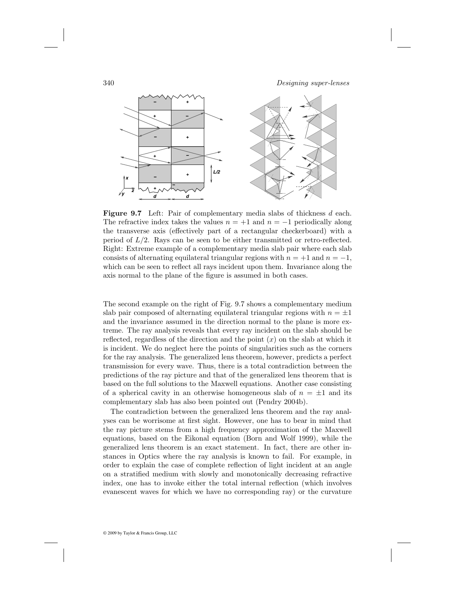<span id="page-17-0"></span>

Figure 9.7 Left: Pair of complementary media slabs of thickness d each. The refractive index takes the values  $n = +1$  and  $n = -1$  periodically along the transverse axis (effectively part of a rectangular checkerboard) with a period of  $L/2$ . Rays can be seen to be either transmitted or retro-reflected. Right: Extreme example of a complementary media slab pair where each slab consists of alternating equilateral triangular regions with  $n = +1$  and  $n = -1$ , which can be seen to reflect all rays incident upon them. Invariance along the axis normal to the plane of the figure is assumed in both cases.

The second example on the right of Fig. 9.7 shows a complementary medium slab pair composed of alternating equilateral triangular regions with  $n = \pm 1$ and the invariance assumed in the direction normal to the plane is more extreme. The ray analysis reveals that every ray incident on the slab should be reflected, regardless of the direction and the point  $(x)$  on the slab at which it is incident. We do neglect here the points of singularities such as the corners for the ray analysis. The generalized lens theorem, however, predicts a perfect transmission for every wave. Thus, there is a total contradiction between the predictions of the ray picture and that of the generalized lens theorem that is based on the full solutions to the Maxwell equations. Another case consisting of a spherical cavity in an otherwise homogeneous slab of  $n = \pm 1$  and its complementary slab has also been pointed out (Pendry 2004b).

The contradiction between the generalized lens theorem and the ray analyses can be worrisome at first sight. However, one has to bear in mind that the ray picture stems from a high frequency approximation of the Maxwell equations, based on the Eikonal equation (Born and Wolf 1999), while the generalized lens theorem is an exact statement. In fact, there are other instances in Optics where the ray analysis is known to fail. For example, in order to explain the case of complete reflection of light incident at an angle on a stratified medium with slowly and monotonically decreasing refractive index, one has to invoke either the total internal reflection (which involves evanescent waves for which we have no corresponding ray) or the curvature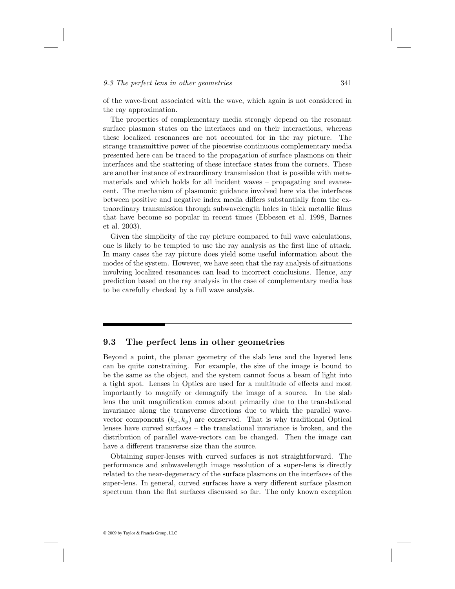of the wave-front associated with the wave, which again is not considered in the ray approximation.

The properties of complementary media strongly depend on the resonant surface plasmon states on the interfaces and on their interactions, whereas these localized resonances are not accounted for in the ray picture. The strange transmittive power of the piecewise continuous complementary media presented here can be traced to the propagation of surface plasmons on their interfaces and the scattering of these interface states from the corners. These are another instance of extraordinary transmission that is possible with metamaterials and which holds for all incident waves – propagating and evanescent. The mechanism of plasmonic guidance involved here via the interfaces between positive and negative index media differs substantially from the extraordinary transmission through subwavelength holes in thick metallic films that have become so popular in recent times (Ebbesen et al. 1998, Barnes et al. 2003).

Given the simplicity of the ray picture compared to full wave calculations, one is likely to be tempted to use the ray analysis as the first line of attack. In many cases the ray picture does yield some useful information about the modes of the system. However, we have seen that the ray analysis of situations involving localized resonances can lead to incorrect conclusions. Hence, any prediction based on the ray analysis in the case of complementary media has to be carefully checked by a full wave analysis.

## **9.3 The perfect lens in other geometries**

Beyond a point, the planar geometry of the slab lens and the layered lens can be quite constraining. For example, the size of the image is bound to be the same as the object, and the system cannot focus a beam of light into a tight spot. Lenses in Optics are used for a multitude of effects and most importantly to magnify or demagnify the image of a source. In the slab lens the unit magnification comes about primarily due to the translational invariance along the transverse directions due to which the parallel wavevector components  $(k_x, k_y)$  are conserved. That is why traditional Optical lenses have curved surfaces – the translational invariance is broken, and the distribution of parallel wave-vectors can be changed. Then the image can have a different transverse size than the source.

Obtaining super-lenses with curved surfaces is not straightforward. The performance and subwavelength image resolution of a super-lens is directly related to the near-degeneracy of the surface plasmons on the interfaces of the super-lens. In general, curved surfaces have a very different surface plasmon spectrum than the flat surfaces discussed so far. The only known exception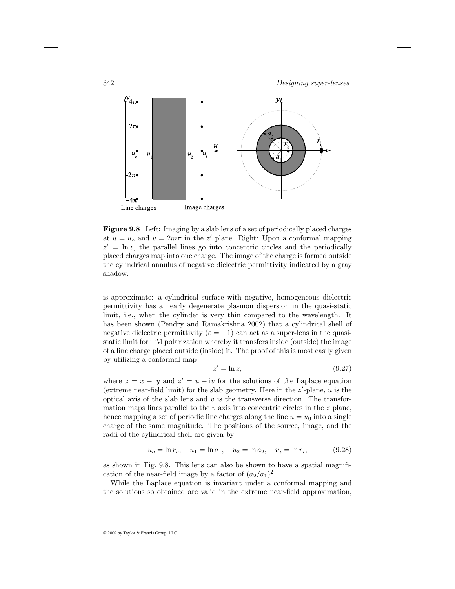<span id="page-19-0"></span>

**Figure 9.8** Left: Imaging by a slab lens of a set of periodically placed charges at  $u = u_0$  and  $v = 2m\pi$  in the z' plane. Right: Upon a conformal mapping  $z' = \ln z$ , the parallel lines go into concentric circles and the periodically placed charges map into one charge. The image of the charge is formed outside the cylindrical annulus of negative dielectric permittivity indicated by a gray shadow.

is approximate: a cylindrical surface with negative, homogeneous dielectric permittivity has a nearly degenerate plasmon dispersion in the quasi-static limit, i.e., when the cylinder is very thin compared to the wavelength. It has been shown (Pendry and Ramakrishna 2002) that a cylindrical shell of negative dielectric permittivity ( $\varepsilon = -1$ ) can act as a super-lens in the quasistatic limit for TM polarization whereby it transfers inside (outside) the image of a line charge placed outside (inside) it. The proof of this is most easily given by utilizing a conformal map

$$
z' = \ln z,\tag{9.27}
$$

where  $z = x + iy$  and  $z' = u + iv$  for the solutions of the Laplace equation (extreme near-field limit) for the slab geometry. Here in the  $z'$ -plane,  $u$  is the optical axis of the slab lens and  $v$  is the transverse direction. The transformation maps lines parallel to the  $v$  axis into concentric circles in the  $z$  plane, hence mapping a set of periodic line charges along the line  $u = u_0$  into a single charge of the same magnitude. The positions of the source, image, and the radii of the cylindrical shell are given by

$$
u_o = \ln r_o, \quad u_1 = \ln a_1, \quad u_2 = \ln a_2, \quad u_i = \ln r_i,\tag{9.28}
$$

as shown in Fig. 9.8. This lens can also be shown to have a spatial magnification of the near-field image by a factor of  $(a_2/a_1)^2$ .

While the Laplace equation is invariant under a conformal mapping and the solutions so obtained are valid in the extreme near-field approximation,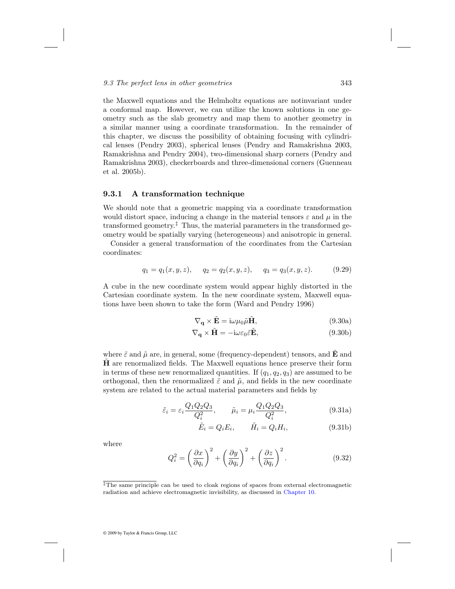the Maxwell equations and the Helmholtz equations are notinvariant under a conformal map. However, we can utilize the known solutions in one geometry such as the slab geometry and map them to another geometry in a similar manner using a coordinate transformation. In the remainder of this chapter, we discuss the possibility of obtaining focusing with cylindrical lenses (Pendry 2003), spherical lenses (Pendry and Ramakrishna 2003, Ramakrishna and Pendry 2004), two-dimensional sharp corners (Pendry and Ramakrishna 2003), checkerboards and three-dimensional corners (Guenneau et al. 2005b).

#### **9.3.1 A transformation technique**

We should note that a geometric mapping via a coordinate transformation would distort space, inducing a change in the material tensors  $\varepsilon$  and  $\mu$  in the transformed geometry.<sup> $\ddagger$ </sup> Thus, the material parameters in the transformed geometry would be spatially varying (heterogeneous) and anisotropic in general.

Consider a general transformation of the coordinates from the Cartesian coordinates:

$$
q_1 = q_1(x, y, z),
$$
  $q_2 = q_2(x, y, z),$   $q_3 = q_3(x, y, z).$  (9.29)

A cube in the new coordinate system would appear highly distorted in the Cartesian coordinate system. In the new coordinate system, Maxwell equations have been shown to take the form (Ward and Pendry 1996)

$$
\nabla_{\mathbf{q}} \times \tilde{\mathbf{E}} = i\omega\mu_0 \tilde{\mu} \tilde{\mathbf{H}},
$$
\n(9.30a)

$$
\nabla_{\mathbf{q}} \times \tilde{\mathbf{H}} = -i\omega\varepsilon_0 \tilde{\varepsilon} \tilde{\mathbf{E}},\tag{9.30b}
$$

where  $\tilde{\varepsilon}$  and  $\tilde{\mu}$  are, in general, some (frequency-dependent) tensors, and  $\tilde{\mathbf{E}}$  and **H** are renormalized fields. The Maxwell equations hence preserve their form in terms of these new renormalized quantities. If  $(q_1, q_2, q_3)$  are assumed to be orthogonal, then the renormalized  $\tilde{\varepsilon}$  and  $\tilde{\mu}$ , and fields in the new coordinate system are related to the actual material parameters and fields by

$$
\tilde{\varepsilon}_i = \varepsilon_i \frac{Q_1 Q_2 Q_3}{Q_i^2}, \qquad \tilde{\mu}_i = \mu_i \frac{Q_1 Q_2 Q_3}{Q_i^2}, \tag{9.31a}
$$

$$
\tilde{E}_i = Q_i E_i, \qquad \tilde{H}_i = Q_i H_i,
$$
\n(9.31b)

where

$$
Q_i^2 = \left(\frac{\partial x}{\partial q_i}\right)^2 + \left(\frac{\partial y}{\partial q_i}\right)^2 + \left(\frac{\partial z}{\partial q_i}\right)^2.
$$
 (9.32)

<sup>‡</sup>The same principle can be used to cloak regions of spaces from external electromagnetic radiation and achieve electromagnetic invisibility, as discussed in Chapter 10.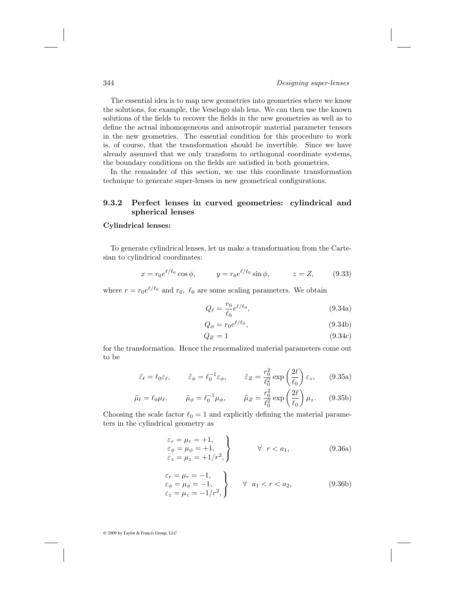The essential idea is to map new geometries into geometries where we know the solutions, for example, the Veselago slab lens. We can then use the known solutions of the fields to recover the fields in the new geometries as well as to define the actual inhomogeneous and anisotropic material parameter tensors in the new geometries. The essential condition for this procedure to work is, of course, that the transformation should be invertible. Since we have already assumed that we only transform to orthogonal coordinate systems, the boundary conditions on the fields are satisfied in both geometries.

In the remainder of this section, we use this coordinate transformation technique to generate super-lenses in new geometrical configurations.

## **9.3.2 Perfect lenses in curved geometries: cylindrical and spherical lenses**

#### **Cylindrical lenses:**

To generate cylindrical lenses, let us make a transformation from the Cartesian to cylindrical coordinates:

$$
x = r_0 e^{\ell/\ell_0} \cos \phi, \qquad y = r_0 e^{\ell/\ell_0} \sin \phi, \qquad z = Z, \qquad (9.33)
$$

where  $r = r_0 e^{\ell/\ell_0}$  and  $r_0$ ,  $\ell_0$  are some scaling parameters. We obtain

$$
Q_{\ell} = \frac{r_0}{\ell_0} e^{\ell/\ell_0},\tag{9.34a}
$$

$$
Q_{\phi} = r_0 e^{\ell/\ell_0},\tag{9.34b}
$$

$$
Q_Z = 1 \tag{9.34c}
$$

for the transformation. Hence the renormalized material parameters come out to be

$$
\tilde{\varepsilon}_{\ell} = \ell_0 \varepsilon_{\ell}, \qquad \tilde{\varepsilon}_{\phi} = \ell_0^{-1} \varepsilon_{\phi}, \qquad \tilde{\varepsilon}_Z = \frac{r_0^2}{\ell_0^2} \exp\left(\frac{2\ell}{\ell_0}\right) \varepsilon_z, \qquad (9.35a)
$$

$$
\tilde{\mu}_{\ell} = \ell_0 \mu_{\ell}, \qquad \tilde{\mu}_{\phi} = \ell_0^{-1} \mu_{\phi}, \qquad \tilde{\mu}_Z = \frac{r_0^2}{\ell_0^2} \exp\left(\frac{2\ell}{\ell_0}\right) \mu_z. \tag{9.35b}
$$

Choosing the scale factor  $\ell_0 = 1$  and explicitly defining the material parameters in the cylindrical geometry as

$$
\begin{aligned}\n\varepsilon_r &= \mu_r = +1, \\
\varepsilon_\phi &= \mu_\phi = +1, \\
\varepsilon_z &= \mu_z = +1/r^2,\n\end{aligned}\n\qquad \forall \ r < a_1,\n\qquad (9.36a)
$$

$$
\begin{aligned}\n\varepsilon_r &= \mu_r = -1, \\
\varepsilon_\phi &= \mu_\phi = -1, \\
\varepsilon_z &= \mu_z = -1/r^2,\n\end{aligned}\n\qquad \forall a_1 < r < a_2,\n\tag{9.36b}
$$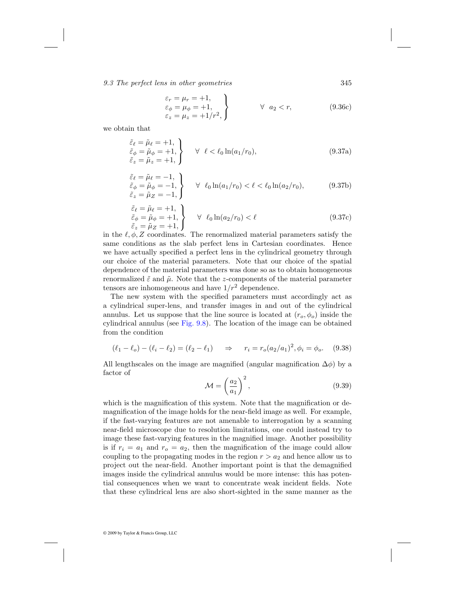#### *9.3 The perfect lens in other geometries* 345

$$
\begin{aligned}\n\varepsilon_r &= \mu_r = +1, \\
\varepsilon_\phi &= \mu_\phi = +1, \\
\varepsilon_z &= \mu_z = +1/r^2,\n\end{aligned}\n\qquad \forall a_2 < r,\n\qquad (9.36c)
$$

we obtain that

$$
\begin{aligned}\n\tilde{\varepsilon}_{\ell} &= \tilde{\mu}_{\ell} = +1, \\
\tilde{\varepsilon}_{\phi} &= \tilde{\mu}_{\phi} = +1, \\
\tilde{\varepsilon}_{z} &= \tilde{\mu}_{z} = +1,\n\end{aligned}\n\qquad \forall \ell < \ell_0 \ln(a_1/r_0),\n\tag{9.37a}
$$

$$
\begin{aligned}\n\tilde{\varepsilon}_{\ell} &= \tilde{\mu}_{\ell} = -1, \\
\tilde{\varepsilon}_{\phi} &= \tilde{\mu}_{\phi} = -1, \\
\tilde{\varepsilon}_{z} &= \tilde{\mu}_{Z} = -1,\n\end{aligned}\n\quad \forall \ell_0 \ln(a_1/r_0) < \ell < \ell_0 \ln(a_2/r_0),\n\tag{9.37b}
$$

$$
\begin{aligned}\n\tilde{\varepsilon}_{\ell} &= \tilde{\mu}_{\ell} = +1, \\
\tilde{\varepsilon}_{\phi} &= \tilde{\mu}_{\phi} = +1, \\
\tilde{\varepsilon}_{z} &= \tilde{\mu}_{Z} = +1,\n\end{aligned}\n\qquad \forall \ell_{0} \ln(a_{2}/r_{0}) < \ell\n\tag{9.37c}
$$

in the  $\ell, \phi, Z$  coordinates. The renormalized material parameters satisfy the same conditions as the slab perfect lens in Cartesian coordinates. Hence we have actually specified a perfect lens in the cylindrical geometry through our choice of the material parameters. Note that our choice of the spatial dependence of the material parameters was done so as to obtain homogeneous renormalized  $\tilde{\varepsilon}$  and  $\tilde{\mu}$ . Note that the z-components of the material parameter tensors are inhomogeneous and have  $1/r^2$  dependence.

The new system with the specified parameters must accordingly act as a cylindrical super-lens, and transfer images in and out of the cylindrical annulus. Let us suppose that the line source is located at  $(r_o, \phi_o)$  inside the cylindrical annulus (see [Fig. 9.8](#page-19-0)). The location of the image can be obtained from the condition

$$
(\ell_1 - \ell_o) - (\ell_i - \ell_2) = (\ell_2 - \ell_1) \quad \Rightarrow \quad r_i = r_o (a_2/a_1)^2, \phi_i = \phi_o. \quad (9.38)
$$

All lengthscales on the image are magnified (angular magnification  $\Delta\phi$ ) by a factor of

$$
\mathcal{M} = \left(\frac{a_2}{a_1}\right)^2,\tag{9.39}
$$

which is the magnification of this system. Note that the magnification or demagnification of the image holds for the near-field image as well. For example, if the fast-varying features are not amenable to interrogation by a scanning near-field microscope due to resolution limitations, one could instead try to image these fast-varying features in the magnified image. Another possibility is if  $r_i = a_1$  and  $r_o = a_2$ , then the magnification of the image could allow coupling to the propagating modes in the region  $r>a_2$  and hence allow us to project out the near-field. Another important point is that the demagnified images inside the cylindrical annulus would be more intense: this has potential consequences when we want to concentrate weak incident fields. Note that these cylindrical lens are also short-sighted in the same manner as the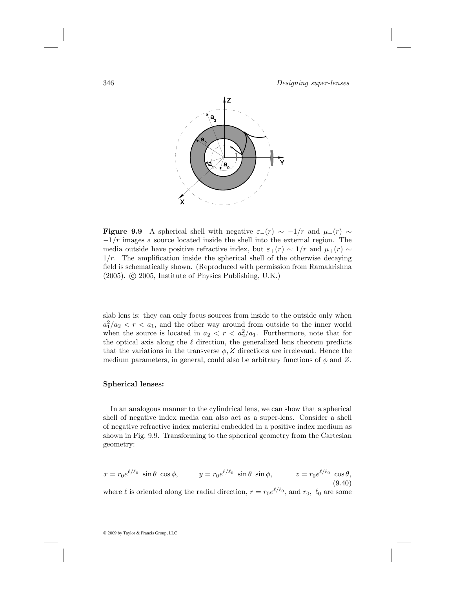

**Figure 9.9** A spherical shell with negative  $\varepsilon_-(r) \sim -1/r$  and  $\mu_-(r) \sim$  $-1/r$  images a source located inside the shell into the external region. The media outside have positive refractive index, but  $\varepsilon_{+}(r) \sim 1/r$  and  $\mu_{+}(r) \sim$  $1/r$ . The amplification inside the spherical shell of the otherwise decaying field is schematically shown. (Reproduced with permission from Ramakrishna  $(2005)$ .  $\odot$  2005, Institute of Physics Publishing, U.K.)

slab lens is: they can only focus sources from inside to the outside only when  $a_1^2/a_2 < r < a_1$ , and the other way around from outside to the inner world when the source is located in  $a_2 < r < a_2^2/a_1$ . Furthermore, note that for the optical axis along the  $\ell$  direction, the generalized lens theorem predicts that the variations in the transverse  $\phi$ , Z directions are irrelevant. Hence the medium parameters, in general, could also be arbitrary functions of  $\phi$  and Z.

#### **Spherical lenses:**

In an analogous manner to the cylindrical lens, we can show that a spherical shell of negative index media can also act as a super-lens. Consider a shell of negative refractive index material embedded in a positive index medium as shown in Fig. 9.9. Transforming to the spherical geometry from the Cartesian geometry:

 $x = r_0 e^{\ell/\ell_0} \sin \theta \cos \phi,$   $y = r_0 e^{\ell/\ell_0} \sin \theta \sin \phi,$   $z = r_0 e^{\ell/\ell_0} \cos \theta,$ (9.40)

where  $\ell$  is oriented along the radial direction,  $r = r_0 e^{\ell/\ell_0}$ , and  $r_0$ ,  $\ell_0$  are some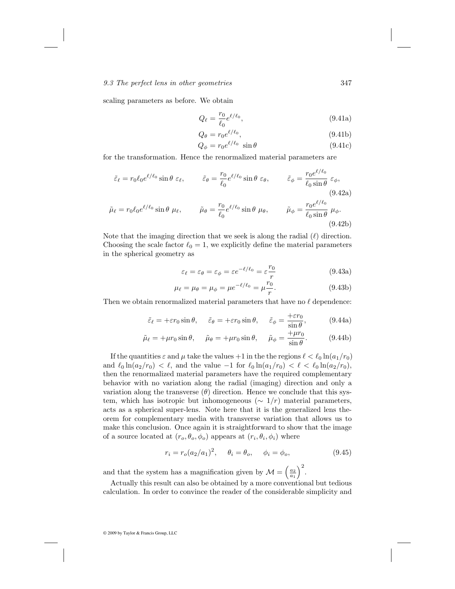scaling parameters as before. We obtain

$$
Q_{\ell} = \frac{r_0}{\ell_0} e^{\ell/\ell_0},\tag{9.41a}
$$

$$
Q_{\theta} = r_0 e^{\ell/\ell_0},\tag{9.41b}
$$

$$
Q_{\phi} = r_0 e^{\ell/\ell_0} \sin \theta \tag{9.41c}
$$

for the transformation. Hence the renormalized material parameters are

$$
\tilde{\varepsilon}_{\ell} = r_0 \ell_0 e^{\ell/\ell_0} \sin \theta \, \varepsilon_{\ell}, \qquad \tilde{\varepsilon}_{\theta} = \frac{r_0}{\ell_0} e^{\ell/\ell_0} \sin \theta \, \varepsilon_{\theta}, \qquad \tilde{\varepsilon}_{\phi} = \frac{r_0 e^{\ell/\ell_0}}{\ell_0 \sin \theta} \, \varepsilon_{\phi},
$$
\n
$$
\tilde{\mu}_{\ell} = r_0 \ell_0 e^{\ell/\ell_0} \sin \theta \, \mu_{\ell}, \qquad \tilde{\mu}_{\theta} = \frac{r_0}{\ell_0} e^{\ell/\ell_0} \sin \theta \, \mu_{\theta}, \qquad \tilde{\mu}_{\phi} = \frac{r_0 e^{\ell/\ell_0}}{\ell_0 \sin \theta} \, \mu_{\phi}.
$$
\n
$$
(9.42a)
$$
\n
$$
(9.42b)
$$

Note that the imaging direction that we seek is along the radial  $(\ell)$  direction. Choosing the scale factor  $\ell_0 = 1$ , we explicitly define the material parameters in the spherical geometry as

$$
\varepsilon_{\ell} = \varepsilon_{\theta} = \varepsilon_{\phi} = \varepsilon e^{-\ell/\ell_0} = \varepsilon \frac{r_0}{r}
$$
 (9.43a)

$$
\mu_{\ell} = \mu_{\theta} = \mu_{\phi} = \mu e^{-\ell/\ell_0} = \mu \frac{r_0}{r}.
$$
\n(9.43b)

Then we obtain renormalized material parameters that have no  $\ell$  dependence:

$$
\tilde{\varepsilon}_{\ell} = +\varepsilon r_0 \sin \theta, \quad \tilde{\varepsilon}_{\theta} = +\varepsilon r_0 \sin \theta, \quad \tilde{\varepsilon}_{\phi} = \frac{+\varepsilon r_0}{\sin \theta},
$$
\n(9.44a)

$$
\tilde{\mu}_{\ell} = +\mu r_0 \sin \theta, \quad \tilde{\mu}_{\theta} = +\mu r_0 \sin \theta, \quad \tilde{\mu}_{\phi} = \frac{+\mu r_0}{\sin \theta}.
$$
 (9.44b)

If the quantities  $\varepsilon$  and  $\mu$  take the values  $+1$  in the the regions  $\ell < \ell_0 \ln(a_1/r_0)$ and  $\ell_0 \ln(a_2/r_0) < \ell$ , and the value  $-1$  for  $\ell_0 \ln(a_1/r_0) < \ell < \ell_0 \ln(a_2/r_0)$ , then the renormalized material parameters have the required complementary behavior with no variation along the radial (imaging) direction and only a variation along the transverse  $(\theta)$  direction. Hence we conclude that this system, which has isotropic but inhomogeneous ( $\sim 1/r$ ) material parameters, acts as a spherical super-lens. Note here that it is the generalized lens theorem for complementary media with transverse variation that allows us to make this conclusion. Once again it is straightforward to show that the image of a source located at  $(r_o, \theta_o, \phi_o)$  appears at  $(r_i, \theta_i, \phi_i)$  where

$$
r_i = r_o (a_2/a_1)^2, \quad \theta_i = \theta_o, \quad \phi_i = \phi_o,
$$
 (9.45)

and that the system has a magnification given by  $\mathcal{M} = \left(\frac{a_2}{a_1}\right)^2$ .

Actually this result can also be obtained by a more conventional but tedious calculation. In order to convince the reader of the considerable simplicity and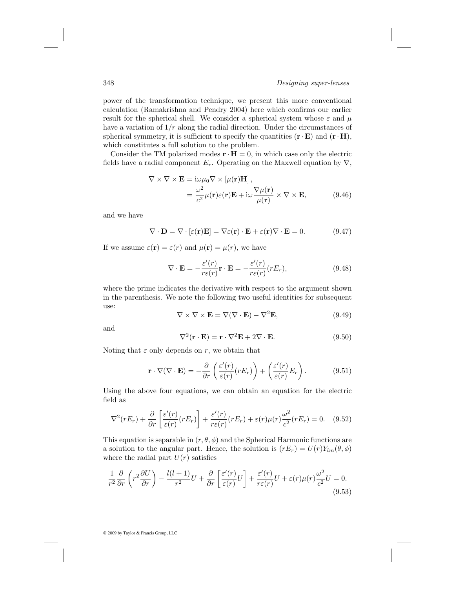<span id="page-25-0"></span>power of the transformation technique, we present this more conventional calculation (Ramakrishna and Pendry 2004) here which confirms our earlier result for the spherical shell. We consider a spherical system whose  $\varepsilon$  and  $\mu$ have a variation of  $1/r$  along the radial direction. Under the circumstances of spherical symmetry, it is sufficient to specify the quantities  $(\mathbf{r} \cdot \mathbf{E})$  and  $(\mathbf{r} \cdot \mathbf{H})$ , which constitutes a full solution to the problem.

Consider the TM polarized modes  $\mathbf{r} \cdot \mathbf{H} = 0$ , in which case only the electric fields have a radial component  $E_r$ . Operating on the Maxwell equation by  $\nabla$ ,

$$
\nabla \times \nabla \times \mathbf{E} = i\omega\mu_0 \nabla \times [\mu(\mathbf{r})\mathbf{H}],
$$
  
= 
$$
\frac{\omega^2}{c^2} \mu(\mathbf{r}) \varepsilon(\mathbf{r}) \mathbf{E} + i\omega \frac{\nabla \mu(\mathbf{r})}{\mu(\mathbf{r})} \times \nabla \times \mathbf{E},
$$
 (9.46)

and we have

$$
\nabla \cdot \mathbf{D} = \nabla \cdot [\varepsilon(\mathbf{r}) \mathbf{E}] = \nabla \varepsilon(\mathbf{r}) \cdot \mathbf{E} + \varepsilon(\mathbf{r}) \nabla \cdot \mathbf{E} = 0. \tag{9.47}
$$

If we assume  $\varepsilon(\mathbf{r}) = \varepsilon(r)$  and  $\mu(\mathbf{r}) = \mu(r)$ , we have

$$
\nabla \cdot \mathbf{E} = -\frac{\varepsilon'(r)}{r\varepsilon(r)} \mathbf{r} \cdot \mathbf{E} = -\frac{\varepsilon'(r)}{r\varepsilon(r)} (rE_r), \qquad (9.48)
$$

where the prime indicates the derivative with respect to the argument shown in the parenthesis. We note the following two useful identities for subsequent use:

$$
\nabla \times \nabla \times \mathbf{E} = \nabla (\nabla \cdot \mathbf{E}) - \nabla^2 \mathbf{E},
$$
\n(9.49)

and

$$
\nabla^2(\mathbf{r} \cdot \mathbf{E}) = \mathbf{r} \cdot \nabla^2 \mathbf{E} + 2\nabla \cdot \mathbf{E}.
$$
 (9.50)

Noting that  $\varepsilon$  only depends on r, we obtain that

$$
\mathbf{r} \cdot \nabla (\nabla \cdot \mathbf{E}) = -\frac{\partial}{\partial r} \left( \frac{\varepsilon'(r)}{\varepsilon(r)} (r E_r) \right) + \left( \frac{\varepsilon'(r)}{\varepsilon(r)} E_r \right). \tag{9.51}
$$

Using the above four equations, we can obtain an equation for the electric field as

$$
\nabla^2(rE_r) + \frac{\partial}{\partial r} \left[ \frac{\varepsilon'(r)}{\varepsilon(r)} (rE_r) \right] + \frac{\varepsilon'(r)}{r\varepsilon(r)} (rE_r) + \varepsilon(r)\mu(r) \frac{\omega^2}{c^2} (rE_r) = 0. \quad (9.52)
$$

This equation is separable in  $(r, \theta, \phi)$  and the Spherical Harmonic functions are a solution to the angular part. Hence, the solution is  $(rE_r) = U(r)Y_{lm}(\theta,\phi)$ where the radial part  $U(r)$  satisfies

$$
\frac{1}{r^2}\frac{\partial}{\partial r}\left(r^2\frac{\partial U}{\partial r}\right) - \frac{l(l+1)}{r^2}U + \frac{\partial}{\partial r}\left[\frac{\varepsilon'(r)}{\varepsilon(r)}U\right] + \frac{\varepsilon'(r)}{r\varepsilon(r)}U + \varepsilon(r)\mu(r)\frac{\omega^2}{c^2}U = 0.
$$
\n(9.53)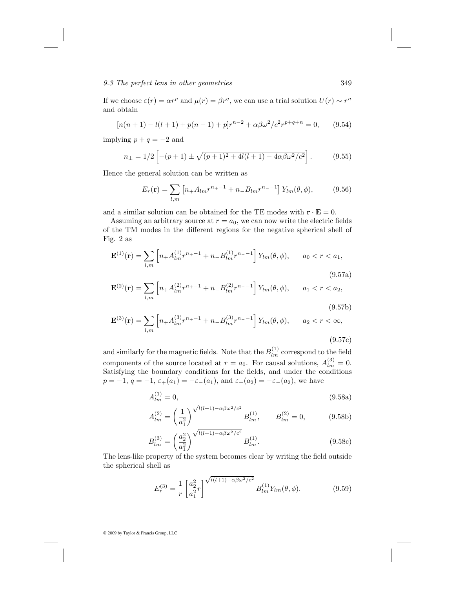If we choose  $\varepsilon(r) = \alpha r^p$  and  $\mu(r) = \beta r^q$ , we can use a trial solution  $U(r) \sim r^n$ and obtain

$$
[n(n+1) - l(l+1) + p(n-1) + p]r^{n-2} + \alpha\beta\omega^2/c^2r^{p+q+n} = 0,
$$
 (9.54)

implying  $p + q = -2$  and

$$
n_{\pm} = 1/2 \left[ -(p+1) \pm \sqrt{(p+1)^2 + 4l(l+1) - 4\alpha \beta \omega^2/c^2} \right].
$$
 (9.55)

Hence the general solution can be written as

$$
E_r(\mathbf{r}) = \sum_{l,m} \left[ n_+ A_{lm} r^{n_+ - 1} + n_- B_{lm} r^{n_- - 1} \right] Y_{lm}(\theta, \phi), \tag{9.56}
$$

and a similar solution can be obtained for the TE modes with  $\mathbf{r} \cdot \mathbf{E} = 0$ .

Assuming an arbitrary source at  $r = a_0$ , we can now write the electric fields of the TM modes in the different regions for the negative spherical shell of Fig. 2 as

$$
\mathbf{E}^{(1)}(\mathbf{r}) = \sum_{l,m} \left[ n_+ A_{lm}^{(1)} r^{n_+ - 1} + n_- B_{lm}^{(1)} r^{n_- - 1} \right] Y_{lm}(\theta, \phi), \qquad a_0 < r < a_1,
$$
\n(9.57a)

$$
\mathbf{E}^{(2)}(\mathbf{r}) = \sum_{l,m} \left[ n_+ A_{lm}^{(2)} r^{n_+ - 1} + n_- B_{lm}^{(2)} r^{n_- - 1} \right] Y_{lm}(\theta, \phi), \qquad a_1 < r < a_2,
$$
\n(9.57b)

$$
\mathbf{E}^{(3)}(\mathbf{r}) = \sum_{l,m} \left[ n_+ A_{lm}^{(3)} r^{n_+ - 1} + n_- B_{lm}^{(3)} r^{n_- - 1} \right] Y_{lm}(\theta, \phi), \qquad a_2 < r < \infty,
$$
\n(9.57c)

and similarly for the magnetic fields. Note that the  $B_{lm}^{(1)}$  correspond to the field components of the source located at  $r = a_0$ . For causal solutions,  $A_{lm}^{(3)} = 0$ . Satisfying the boundary conditions for the fields, and under the conditions  $p = -1, q = -1, \varepsilon_{+}(a_1) = -\varepsilon_{-}(a_1), \text{ and } \varepsilon_{+}(a_2) = -\varepsilon_{-}(a_2), \text{ we have}$ 

$$
A_{lm}^{(1)} = 0,\t\t(9.58a)
$$

$$
A_{lm}^{(2)} = \left(\frac{1}{a_1^2}\right)^{\sqrt{l(l+1) - \alpha \beta \omega^2/c^2}} B_{lm}^{(1)}, \qquad B_{lm}^{(2)} = 0,
$$
 (9.58b)

$$
B_{lm}^{(3)} = \left(\frac{a_2^2}{a_1^2}\right)^{\sqrt{l(l+1) - \alpha \beta \omega^2/c^2}} B_{lm}^{(1)}.
$$
 (9.58c)

The lens-like property of the system becomes clear by writing the field outside the spherical shell as

$$
E_r^{(3)} = \frac{1}{r} \left[ \frac{a_2^2}{a_1^2} r \right]^{\sqrt{l(l+1) - \alpha \beta \omega^2/c^2}} B_{lm}^{(1)} Y_{lm}(\theta, \phi).
$$
 (9.59)

#### © 2009 by Taylor & Francis Group, LLC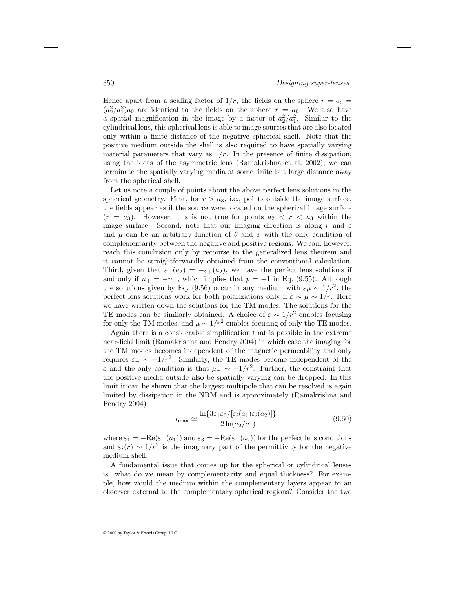<span id="page-27-0"></span>Hence apart from a scaling factor of  $1/r$ , the fields on the sphere  $r = a_3$  $(a_2^2/a_1^2)a_0$  are identical to the fields on the sphere  $r = a_0$ . We also have a spatial magnification in the image by a factor of  $a_2^2/a_1^2$ . Similar to the cylindrical lens, this spherical lens is able to image sources that are also located only within a finite distance of the negative spherical shell. Note that the positive medium outside the shell is also required to have spatially varying material parameters that vary as  $1/r$ . In the presence of finite dissipation, using the ideas of the asymmetric lens (Ramakrishna et al. 2002), we can terminate the spatially varying media at some finite but large distance away from the spherical shell.

Let us note a couple of points about the above perfect lens solutions in the spherical geometry. First, for  $r > a_3$ , i.e., points outside the image surface, the fields appear as if the source were located on the spherical image surface  $(r = a_3)$ . However, this is not true for points  $a_2 < r < a_3$  within the image surface. Second, note that our imaging direction is along r and  $\varepsilon$ and  $\mu$  can be an arbitrary function of  $\theta$  and  $\phi$  with the only condition of complementarity between the negative and positive regions. We can, however, reach this conclusion only by recourse to the generalized lens theorem and it cannot be straightforwardly obtained from the conventional calculation. Third, given that  $\varepsilon_-(a_2) = -\varepsilon_+(a_2)$ , we have the perfect lens solutions if and only if  $n_{+} = -n_{-}$ , which implies that  $p = -1$  in Eq. (9.55). Although the solutions given by Eq. (9.56) occur in any medium with  $\varepsilon\mu \sim 1/r^2$ , the perfect lens solutions work for both polarizations only if  $\varepsilon \sim \mu \sim 1/r$ . Here we have written down the solutions for the TM modes. The solutions for the TE modes can be similarly obtained. A choice of  $\varepsilon \sim 1/r^2$  enables focusing for only the TM modes, and  $\mu \sim 1/r^2$  enables focusing of only the TE modes.

Again there is a considerable simplification that is possible in the extreme near-field limit (Ramakrishna and Pendry 2004) in which case the imaging for the TM modes becomes independent of the magnetic permeability and only requires  $\varepsilon_-\sim -1/r^2$ . Similarly, the TE modes become independent of the  $\varepsilon$  and the only condition is that  $\mu$ <sub>-</sub>  $\sim$  -1/r<sup>2</sup>. Further, the constraint that the positive media outside also be spatially varying can be dropped. In this limit it can be shown that the largest multipole that can be resolved is again limited by dissipation in the NRM and is approximately (Ramakrishna and Pendry 2004)

$$
l_{\max} \simeq \frac{\ln\{3\varepsilon_1\varepsilon_3/[\varepsilon_i(a_1)\varepsilon_i(a_2)]\}}{2\ln(a_2/a_1)},
$$
\n(9.60)

where  $\varepsilon_1 = -\text{Re}(\varepsilon_-(a_1))$  and  $\varepsilon_3 = -\text{Re}(\varepsilon_-(a_2))$  for the perfect lens conditions and  $\varepsilon_i(r) \sim 1/r^2$  is the imaginary part of the permittivity for the negative medium shell.

A fundamental issue that comes up for the spherical or cylindrical lenses is: what do we mean by complementarity and equal thickness? For example, how would the medium within the complementary layers appear to an observer external to the complementary spherical regions? Consider the two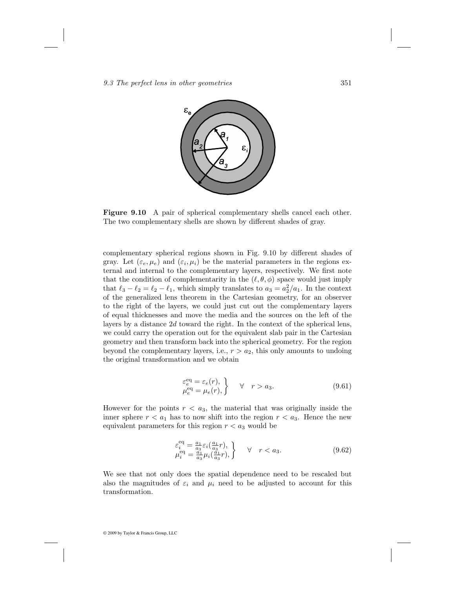

Figure 9.10 A pair of spherical complementary shells cancel each other. The two complementary shells are shown by different shades of gray.

complementary spherical regions shown in Fig. 9.10 by different shades of gray. Let  $(\varepsilon_e, \mu_e)$  and  $(\varepsilon_i, \mu_i)$  be the material parameters in the regions external and internal to the complementary layers, respectively. We first note that the condition of complementarity in the  $(\ell, \theta, \phi)$  space would just imply that  $\ell_3 - \ell_2 = \ell_2 - \ell_1$ , which simply translates to  $a_3 = a_2^2/a_1$ . In the context of the generalized lens theorem in the Cartesian geometry, for an observer to the right of the layers, we could just cut out the complementary layers of equal thicknesses and move the media and the sources on the left of the layers by a distance  $2d$  toward the right. In the context of the spherical lens, we could carry the operation out for the equivalent slab pair in the Cartesian geometry and then transform back into the spherical geometry. For the region beyond the complementary layers, i.e.,  $r > a_2$ , this only amounts to undoing the original transformation and we obtain

$$
\begin{aligned}\n\varepsilon_e^{\text{eq}} &= \varepsilon_e(r), \\
\mu_e^{\text{eq}} &= \mu_e(r),\n\end{aligned}\n\qquad \qquad \forall \quad r > a_3.
$$
\n(9.61)

However for the points  $r < a_3$ , the material that was originally inside the inner sphere  $r < a_1$  has to now shift into the region  $r < a_3$ . Hence the new equivalent parameters for this region  $r < a_3$  would be

$$
\begin{array}{l}\n\varepsilon_i^{\text{eq}} = \frac{a_1}{a_3} \varepsilon_i \left( \frac{a_1}{a_3} r \right), \\
\mu_i^{\text{eq}} = \frac{a_1}{a_3} \mu_i \left( \frac{a_1}{a_3} r \right),\n\end{array} \n\qquad \forall \quad r < a_3.
$$
\n(9.62)

We see that not only does the spatial dependence need to be rescaled but also the magnitudes of  $\varepsilon_i$  and  $\mu_i$  need to be adjusted to account for this transformation.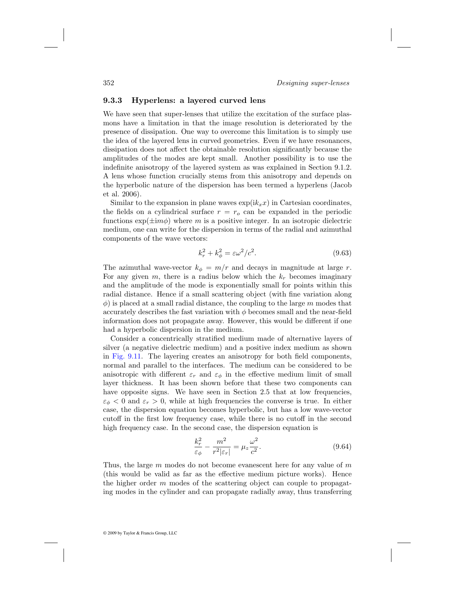## **9.3.3 Hyperlens: a layered curved lens**

We have seen that super-lenses that utilize the excitation of the surface plasmons have a limitation in that the image resolution is deteriorated by the presence of dissipation. One way to overcome this limitation is to simply use the idea of the layered lens in curved geometries. Even if we have resonances, dissipation does not affect the obtainable resolution significantly because the amplitudes of the modes are kept small. Another possibility is to use the indefinite anisotropy of the layered system as was explained in Section 9.1.2. A lens whose function crucially stems from this anisotropy and depends on the hyperbolic nature of the dispersion has been termed a hyperlens (Jacob et al. 2006).

Similar to the expansion in plane waves  $\exp(ik_x x)$  in Cartesian coordinates, the fields on a cylindrical surface  $r = r<sub>o</sub>$  can be expanded in the periodic functions  $\exp(\pm im\phi)$  where m is a positive integer. In an isotropic dielectric medium, one can write for the dispersion in terms of the radial and azimuthal components of the wave vectors:

$$
k_r^2 + k_\phi^2 = \varepsilon \omega^2 / c^2. \tag{9.63}
$$

The azimuthal wave-vector  $k_{\phi} = m/r$  and decays in magnitude at large r. For any given m, there is a radius below which the  $k_r$  becomes imaginary and the amplitude of the mode is exponentially small for points within this radial distance. Hence if a small scattering object (with fine variation along  $\phi$ ) is placed at a small radial distance, the coupling to the large m modes that accurately describes the fast variation with  $\phi$  becomes small and the near-field information does not propagate away. However, this would be different if one had a hyperbolic dispersion in the medium.

Consider a concentrically stratified medium made of alternative layers of silver (a negative dielectric medium) and a positive index medium as shown in [Fig. 9.11](#page-30-0). The layering creates an anisotropy for both field components, normal and parallel to the interfaces. The medium can be considered to be anisotropic with different  $\varepsilon_r$  and  $\varepsilon_\phi$  in the effective medium limit of small layer thickness. It has been shown before that these two components can have opposite signs. We have seen in Section 2.5 that at low frequencies,  $\varepsilon_{\phi}$  < 0 and  $\varepsilon_{r}$  > 0, while at high frequencies the converse is true. In either case, the dispersion equation becomes hyperbolic, but has a low wave-vector cutoff in the first low frequency case, while there is no cutoff in the second high frequency case. In the second case, the dispersion equation is

$$
\frac{k_r^2}{\varepsilon_\phi} - \frac{m^2}{r^2 |\varepsilon_r|} = \mu_z \frac{\omega^2}{c^2}.
$$
\n(9.64)

Thus, the large  $m$  modes do not become evanescent here for any value of  $m$ (this would be valid as far as the effective medium picture works). Hence the higher order  $m$  modes of the scattering object can couple to propagating modes in the cylinder and can propagate radially away, thus transferring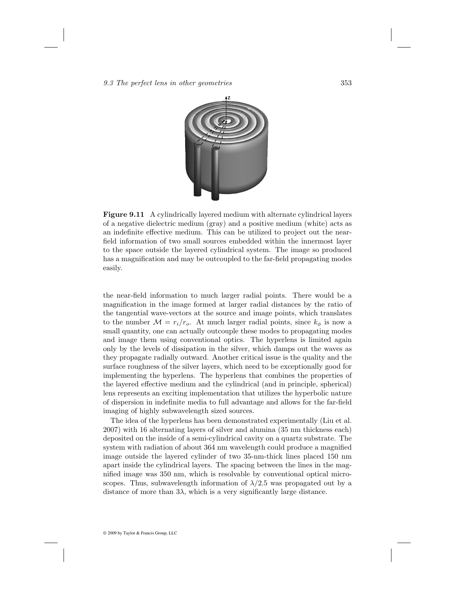<span id="page-30-0"></span>

**Figure 9.11** A cylindrically layered medium with alternate cylindrical layers of a negative dielectric medium (gray) and a positive medium (white) acts as an indefinite effective medium. This can be utilized to project out the nearfield information of two small sources embedded within the innermost layer to the space outside the layered cylindrical system. The image so produced has a magnification and may be outcoupled to the far-field propagating modes easily.

the near-field information to much larger radial points. There would be a magnification in the image formed at larger radial distances by the ratio of the tangential wave-vectors at the source and image points, which translates to the number  $\mathcal{M} = r_i/r_o$ . At much larger radial points, since  $k_\phi$  is now a small quantity, one can actually outcouple these modes to propagating modes and image them using conventional optics. The hyperlens is limited again only by the levels of dissipation in the silver, which damps out the waves as they propagate radially outward. Another critical issue is the quality and the surface roughness of the silver layers, which need to be exceptionally good for implementing the hyperlens. The hyperlens that combines the properties of the layered effective medium and the cylindrical (and in principle, spherical) lens represents an exciting implementation that utilizes the hyperbolic nature of dispersion in indefinite media to full advantage and allows for the far-field imaging of highly subwavelength sized sources.

The idea of the hyperlens has been demonstrated experimentally (Liu et al. 2007) with 16 alternating layers of silver and alumina (35 nm thickness each) deposited on the inside of a semi-cylindrical cavity on a quartz substrate. The system with radiation of about 364 nm wavelength could produce a magnified image outside the layered cylinder of two 35-nm-thick lines placed 150 nm apart inside the cylindrical layers. The spacing between the lines in the magnified image was 350 nm, which is resolvable by conventional optical microscopes. Thus, subwavelength information of  $\lambda/2.5$  was propagated out by a distance of more than  $3\lambda$ , which is a very significantly large distance.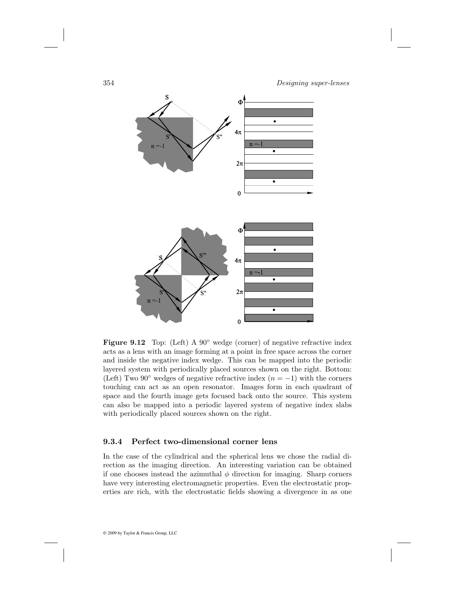<span id="page-31-0"></span>

**Figure 9.12** Top: (Left) A 90° wedge (corner) of negative refractive index acts as a lens with an image forming at a point in free space across the corner and inside the negative index wedge. This can be mapped into the periodic layered system with periodically placed sources shown on the right. Bottom: (Left) Two 90° wedges of negative refractive index  $(n = -1)$  with the corners touching can act as an open resonator. Images form in each quadrant of space and the fourth image gets focused back onto the source. This system can also be mapped into a periodic layered system of negative index slabs with periodically placed sources shown on the right.

# **9.3.4 Perfect two-dimensional corner lens**

In the case of the cylindrical and the spherical lens we chose the radial direction as the imaging direction. An interesting variation can be obtained if one chooses instead the azimuthal  $\phi$  direction for imaging. Sharp corners have very interesting electromagnetic properties. Even the electrostatic properties are rich, with the electrostatic fields showing a divergence in as one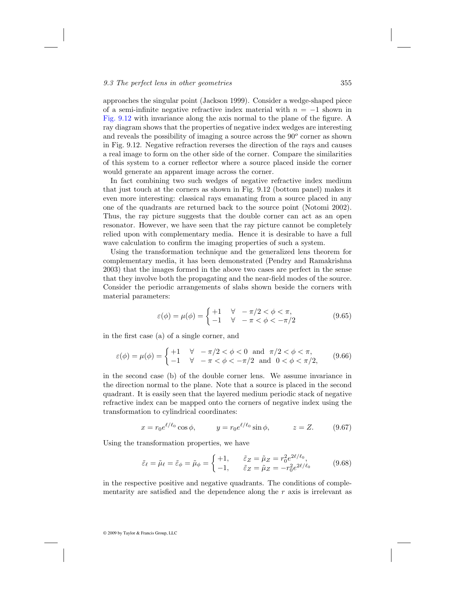approaches the singular point (Jackson 1999). Consider a wedge-shaped piece of a semi-infinite negative refractive index material with  $n = -1$  shown in [Fig. 9.12](#page-31-0) with invariance along the axis normal to the plane of the figure. A ray diagram shows that the properties of negative index wedges are interesting and reveals the possibility of imaging a source across the  $90^{\circ}$  corner as shown in Fig. 9.12. Negative refraction reverses the direction of the rays and causes a real image to form on the other side of the corner. Compare the similarities of this system to a corner reflector where a source placed inside the corner would generate an apparent image across the corner.

In fact combining two such wedges of negative refractive index medium that just touch at the corners as shown in Fig. 9.12 (bottom panel) makes it even more interesting: classical rays emanating from a source placed in any one of the quadrants are returned back to the source point (Notomi 2002). Thus, the ray picture suggests that the double corner can act as an open resonator. However, we have seen that the ray picture cannot be completely relied upon with complementary media. Hence it is desirable to have a full wave calculation to confirm the imaging properties of such a system.

Using the transformation technique and the generalized lens theorem for complementary media, it has been demonstrated (Pendry and Ramakrishna 2003) that the images formed in the above two cases are perfect in the sense that they involve both the propagating and the near-field modes of the source. Consider the periodic arrangements of slabs shown beside the corners with material parameters:

$$
\varepsilon(\phi) = \mu(\phi) = \begin{cases} +1 & \forall -\pi/2 < \phi < \pi, \\ -1 & \forall -\pi < \phi < -\pi/2 \end{cases} \tag{9.65}
$$

in the first case (a) of a single corner, and

$$
\varepsilon(\phi) = \mu(\phi) = \begin{cases} +1 & \forall -\pi/2 < \phi < 0 \text{ and } \pi/2 < \phi < \pi, \\ -1 & \forall -\pi < \phi < -\pi/2 \text{ and } 0 < \phi < \pi/2, \end{cases}
$$
 (9.66)

in the second case (b) of the double corner lens. We assume invariance in the direction normal to the plane. Note that a source is placed in the second quadrant. It is easily seen that the layered medium periodic stack of negative refractive index can be mapped onto the corners of negative index using the transformation to cylindrical coordinates:

$$
x = r_0 e^{\ell/\ell_0} \cos \phi, \qquad y = r_0 e^{\ell/\ell_0} \sin \phi, \qquad z = Z. \tag{9.67}
$$

Using the transformation properties, we have

$$
\tilde{\varepsilon}_{\ell} = \tilde{\mu}_{\ell} = \tilde{\varepsilon}_{\phi} = \tilde{\mu}_{\phi} = \begin{cases} +1, & \tilde{\varepsilon}_{Z} = \tilde{\mu}_{Z} = r_0^2 e^{2\ell/\ell_0}, \\ -1, & \tilde{\varepsilon}_{Z} = \tilde{\mu}_{Z} = -r_0^2 e^{2\ell/\ell_0} \end{cases}
$$
(9.68)

in the respective positive and negative quadrants. The conditions of complementarity are satisfied and the dependence along the  $r$  axis is irrelevant as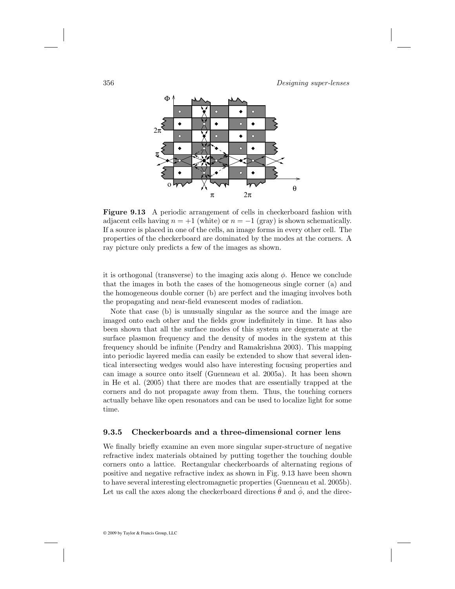

**Figure 9.13** A periodic arrangement of cells in checkerboard fashion with adjacent cells having  $n = +1$  (white) or  $n = -1$  (gray) is shown schematically. If a source is placed in one of the cells, an image forms in every other cell. The properties of the checkerboard are dominated by the modes at the corners. A ray picture only predicts a few of the images as shown.

it is orthogonal (transverse) to the imaging axis along  $\phi$ . Hence we conclude that the images in both the cases of the homogeneous single corner (a) and the homogeneous double corner (b) are perfect and the imaging involves both the propagating and near-field evanescent modes of radiation.

Note that case (b) is unusually singular as the source and the image are imaged onto each other and the fields grow indefinitely in time. It has also been shown that all the surface modes of this system are degenerate at the surface plasmon frequency and the density of modes in the system at this frequency should be infinite (Pendry and Ramakrishna 2003). This mapping into periodic layered media can easily be extended to show that several identical intersecting wedges would also have interesting focusing properties and can image a source onto itself (Guenneau et al. 2005a). It has been shown in He et al. (2005) that there are modes that are essentially trapped at the corners and do not propagate away from them. Thus, the touching corners actually behave like open resonators and can be used to localize light for some time.

## **9.3.5 Checkerboards and a three-dimensional corner lens**

We finally briefly examine an even more singular super-structure of negative refractive index materials obtained by putting together the touching double corners onto a lattice. Rectangular checkerboards of alternating regions of positive and negative refractive index as shown in Fig. 9.13 have been shown to have several interesting electromagnetic properties (Guenneau et al. 2005b). Let us call the axes along the checkerboard directions  $\hat{\theta}$  and  $\hat{\phi}$ , and the direc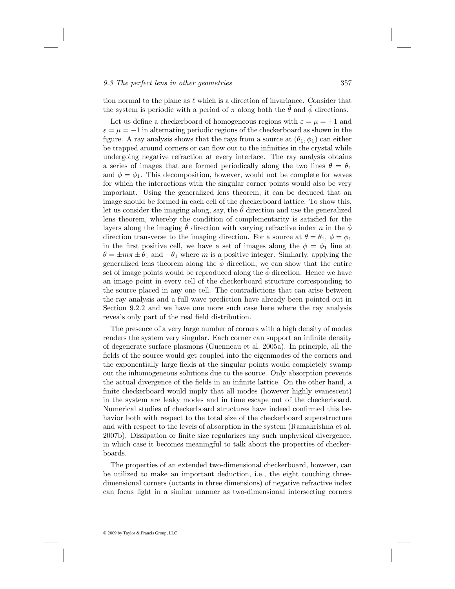tion normal to the plane as  $\ell$  which is a direction of invariance. Consider that the system is periodic with a period of  $\pi$  along both the  $\hat{\theta}$  and  $\hat{\phi}$  directions.

Let us define a checkerboard of homogeneous regions with  $\varepsilon = \mu = +1$  and  $\varepsilon = \mu = -1$  in alternating periodic regions of the checkerboard as shown in the figure. A ray analysis shows that the rays from a source at  $(\theta_1, \phi_1)$  can either be trapped around corners or can flow out to the infinities in the crystal while undergoing negative refraction at every interface. The ray analysis obtains a series of images that are formed periodically along the two lines  $\theta = \theta_1$ and  $\phi = \phi_1$ . This decomposition, however, would not be complete for waves for which the interactions with the singular corner points would also be very important. Using the generalized lens theorem, it can be deduced that an image should be formed in each cell of the checkerboard lattice. To show this, let us consider the imaging along, say, the  $\hat{\theta}$  direction and use the generalized lens theorem, whereby the condition of complementarity is satisfied for the layers along the imaging  $\theta$  direction with varying refractive index n in the  $\phi$ direction transverse to the imaging direction. For a source at  $\theta = \theta_1$ ,  $\phi = \phi_1$ in the first positive cell, we have a set of images along the  $\phi = \phi_1$  line at  $\theta = \pm m\pi \pm \theta_1$  and  $-\theta_1$  where m is a positive integer. Similarly, applying the generalized lens theorem along the  $\hat{\phi}$  direction, we can show that the entire set of image points would be reproduced along the  $\phi$  direction. Hence we have an image point in every cell of the checkerboard structure corresponding to the source placed in any one cell. The contradictions that can arise between the ray analysis and a full wave prediction have already been pointed out in Section 9.2.2 and we have one more such case here where the ray analysis reveals only part of the real field distribution.

The presence of a very large number of corners with a high density of modes renders the system very singular. Each corner can support an infinite density of degenerate surface plasmons (Guenneau et al. 2005a). In principle, all the fields of the source would get coupled into the eigenmodes of the corners and the exponentially large fields at the singular points would completely swamp out the inhomogeneous solutions due to the source. Only absorption prevents the actual divergence of the fields in an infinite lattice. On the other hand, a finite checkerboard would imply that all modes (however highly evanescent) in the system are leaky modes and in time escape out of the checkerboard. Numerical studies of checkerboard structures have indeed confirmed this behavior both with respect to the total size of the checkerboard superstructure and with respect to the levels of absorption in the system (Ramakrishna et al. 2007b). Dissipation or finite size regularizes any such unphysical divergence, in which case it becomes meaningful to talk about the properties of checkerboards.

The properties of an extended two-dimensional checkerboard, however, can be utilized to make an important deduction, i.e., the eight touching threedimensional corners (octants in three dimensions) of negative refractive index can focus light in a similar manner as two-dimensional intersecting corners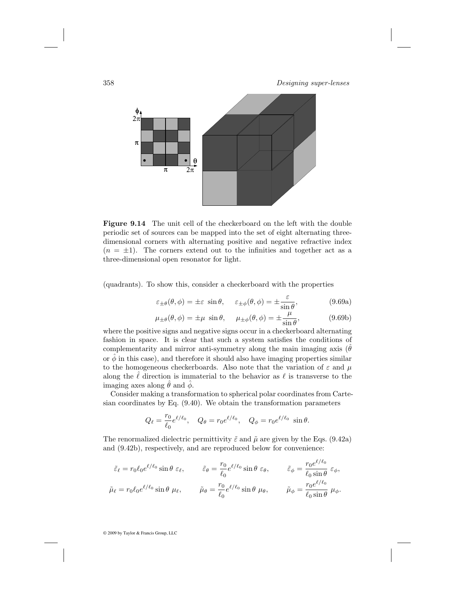<span id="page-35-0"></span>

**Figure 9.14** The unit cell of the checkerboard on the left with the double periodic set of sources can be mapped into the set of eight alternating threedimensional corners with alternating positive and negative refractive index  $(n = \pm 1)$ . The corners extend out to the infinities and together act as a three-dimensional open resonator for light.

(quadrants). To show this, consider a checkerboard with the properties

$$
\varepsilon_{\pm\theta}(\theta,\phi) = \pm \varepsilon \, \sin \theta, \quad \varepsilon_{\pm\phi}(\theta,\phi) = \pm \frac{\varepsilon}{\sin \theta}, \quad (9.69a)
$$

$$
\mu_{\pm\theta}(\theta,\phi) = \pm \mu \, \sin \theta, \quad \mu_{\pm\phi}(\theta,\phi) = \pm \frac{\mu}{\sin \theta}, \quad (9.69b)
$$

where the positive signs and negative signs occur in a checkerboard alternating fashion in space. It is clear that such a system satisfies the conditions of complementarity and mirror anti-symmetry along the main imaging axis  $(\hat{\theta})$ or  $\phi$  in this case), and therefore it should also have imaging properties similar to the homogeneous checkerboards. Also note that the variation of  $\varepsilon$  and  $\mu$ along the  $\ell$  direction is immaterial to the behavior as  $\ell$  is transverse to the imaging axes along  $\hat{\theta}$  and  $\hat{\phi}$ .

Consider making a transformation to spherical polar coordinates from Cartesian coordinates by Eq. (9.40). We obtain the transformation parameters

$$
Q_{\ell} = \frac{r_0}{\ell_0} e^{\ell/\ell_0}, \quad Q_{\theta} = r_0 e^{\ell/\ell_0}, \quad Q_{\phi} = r_0 e^{\ell/\ell_0} \sin \theta.
$$

The renormalized dielectric permittivity  $\tilde{\varepsilon}$  and  $\tilde{\mu}$  are given by the Eqs. (9.42a) and (9.42b), respectively, and are reproduced below for convenience:

$$
\tilde{\varepsilon}_{\ell} = r_0 \ell_0 e^{\ell/\ell_0} \sin \theta \, \varepsilon_{\ell}, \qquad \tilde{\varepsilon}_{\theta} = \frac{r_0}{\ell_0} e^{\ell/\ell_0} \sin \theta \, \varepsilon_{\theta}, \qquad \tilde{\varepsilon}_{\phi} = \frac{r_0 e^{\ell/\ell_0}}{\ell_0 \sin \theta} \, \varepsilon_{\phi},
$$
\n
$$
\tilde{\mu}_{\ell} = r_0 \ell_0 e^{\ell/\ell_0} \sin \theta \, \mu_{\ell}, \qquad \tilde{\mu}_{\theta} = \frac{r_0}{\ell_0} e^{\ell/\ell_0} \sin \theta \, \mu_{\theta}, \qquad \tilde{\mu}_{\phi} = \frac{r_0 e^{\ell/\ell_0}}{\ell_0 \sin \theta} \, \mu_{\phi}.
$$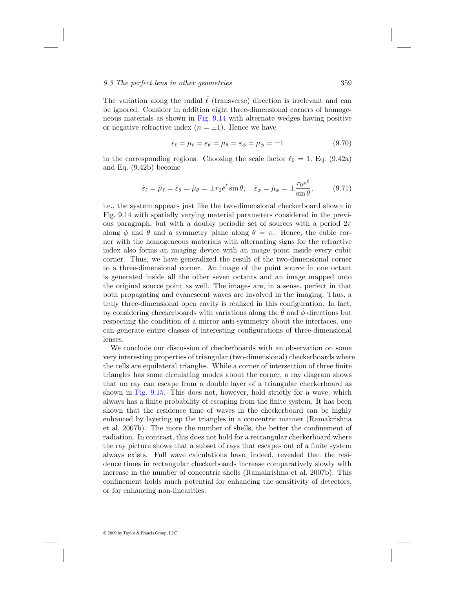The variation along the radial  $\hat{\ell}$  (transverse) direction is irrelevant and can be ignored. Consider in addition eight three-dimensional corners of homogeneous materials as shown in [Fig. 9.14](#page-35-0) with alternate wedges having positive or negative refractive index  $(n = \pm 1)$ . Hence we have

$$
\varepsilon_{\ell} = \mu_{\ell} = \varepsilon_{\theta} = \mu_{\theta} = \varepsilon_{\phi} = \mu_{\phi} = \pm 1 \tag{9.70}
$$

in the corresponding regions. Choosing the scale factor  $\ell_0 = 1$ , Eq. (9.42a) and Eq. (9.42b) become

$$
\tilde{\varepsilon}_{\ell} = \tilde{\mu}_{\ell} = \tilde{\varepsilon}_{\theta} = \tilde{\mu}_{\theta} = \pm r_0 e^{\ell} \sin \theta, \quad \tilde{\varepsilon}_{\phi} = \tilde{\mu}_{\phi} = \pm \frac{r_0 e^{\ell}}{\sin \theta}, \quad (9.71)
$$

i.e., the system appears just like the two-dimensional checkerboard shown in Fig. 9.14 with spatially varying material parameters considered in the previous paragraph, but with a doubly periodic set of sources with a period  $2\pi$ along  $\phi$  and  $\theta$  and a symmetry plane along  $\theta = \pi$ . Hence, the cubic corner with the homogeneous materials with alternating signs for the refractive index also forms an imaging device with an image point inside every cubic corner. Thus, we have generalized the result of the two-dimensional corner to a three-dimensional corner. An image of the point source in one octant is generated inside all the other seven octants and an image mapped onto the original source point as well. The images are, in a sense, perfect in that both propagating and evanescent waves are involved in the imaging. Thus, a truly three-dimensional open cavity is realized in this configuration. In fact, by considering checkerboards with variations along the  $\hat{\theta}$  and  $\hat{\phi}$  directions but respecting the condition of a mirror anti-symmetry about the interfaces, one can generate entire classes of interesting configurations of three-dimensional lenses.

We conclude our discussion of checkerboards with an observation on some very interesting properties of triangular (two-dimensional) checkerboards where the cells are equilateral triangles. While a corner of intersection of three finite triangles has some circulating modes about the corner, a ray diagram shows that no ray can escape from a double layer of a triangular checkerboard as shown in [Fig. 9.15.](#page-37-0) This does not, however, hold strictly for a wave, which always has a finite probability of escaping from the finite system. It has been shown that the residence time of waves in the checkerboard can be highly enhanced by layering up the triangles in a concentric manner (Ramakrishna et al. 2007b). The more the number of shells, the better the confinement of radiation. In contrast, this does not hold for a rectangular checkerboard where the ray picture shows that a subset of rays that escapes out of a finite system always exists. Full wave calculations have, indeed, revealed that the residence times in rectangular checkerboards increase comparatively slowly with increase in the number of concentric shells (Ramakrishna et al. 2007b). This confinement holds much potential for enhancing the sensitivity of detectors, or for enhancing non-linearities.